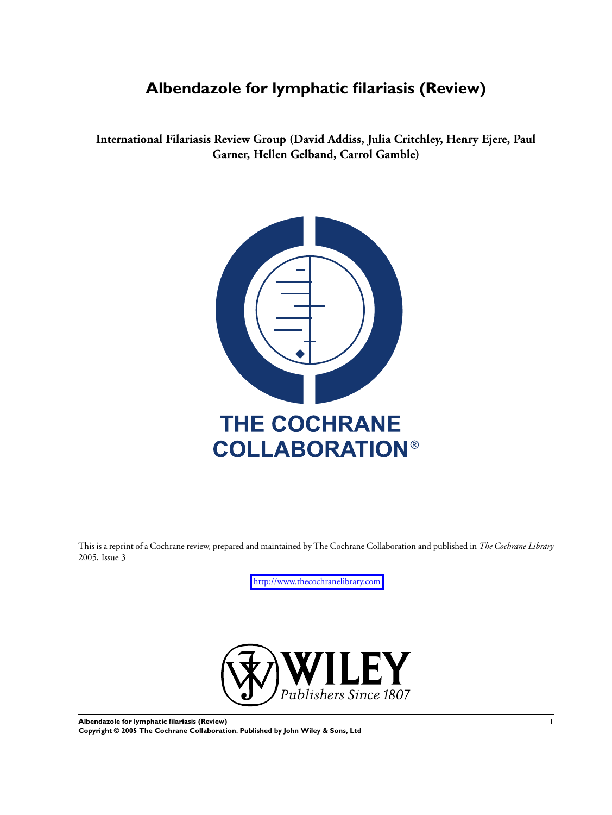# **Albendazole for lymphatic filariasis (Review)**

**International Filariasis Review Group (David Addiss, Julia Critchley, Henry Ejere, Paul Garner, Hellen Gelband, Carrol Gamble)**



This is a reprint of a Cochrane review, prepared and maintained by The Cochrane Collaboration and published in *The Cochrane Library* 2005, Issue 3

<http://www.thecochranelibrary.com>



**Albendazole for lymphatic filariasis (Review) 1 Copyright © 2005 The Cochrane Collaboration. Published by John Wiley & Sons, Ltd**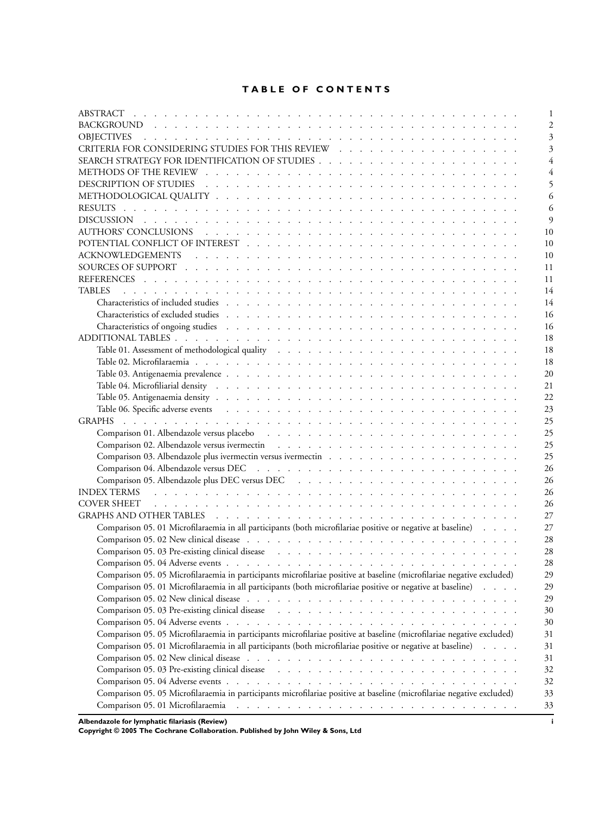# **TABLE OF CONTENTS**

| ABSTRACT                                                                                                                                                                                                                       |  | $\mathbf{1}$   |
|--------------------------------------------------------------------------------------------------------------------------------------------------------------------------------------------------------------------------------|--|----------------|
|                                                                                                                                                                                                                                |  | $\overline{c}$ |
| <b>OBJECTIVES</b><br><u>. In the second terms of the second terms of the second terms of the second terms of the second terms of the second</u>                                                                                |  | 3              |
|                                                                                                                                                                                                                                |  | 3              |
|                                                                                                                                                                                                                                |  | 4              |
|                                                                                                                                                                                                                                |  | 4              |
|                                                                                                                                                                                                                                |  | 5              |
|                                                                                                                                                                                                                                |  | 6              |
|                                                                                                                                                                                                                                |  | 6              |
|                                                                                                                                                                                                                                |  | $\overline{Q}$ |
|                                                                                                                                                                                                                                |  | 10             |
|                                                                                                                                                                                                                                |  | 10             |
|                                                                                                                                                                                                                                |  | 10             |
|                                                                                                                                                                                                                                |  | 11             |
|                                                                                                                                                                                                                                |  | 11             |
| <b>TABLES</b>                                                                                                                                                                                                                  |  | 14             |
|                                                                                                                                                                                                                                |  | 14             |
|                                                                                                                                                                                                                                |  | 16             |
|                                                                                                                                                                                                                                |  |                |
|                                                                                                                                                                                                                                |  | 16             |
|                                                                                                                                                                                                                                |  | 18             |
|                                                                                                                                                                                                                                |  | 18             |
|                                                                                                                                                                                                                                |  | 18             |
|                                                                                                                                                                                                                                |  | 20             |
| Table 04. Microfiliarial density resources and contact the contract of the contact of the contact of the contact of the contact of the contact of the contact of the contact of the contact of the contact of the contact of t |  | 21             |
|                                                                                                                                                                                                                                |  | 22             |
|                                                                                                                                                                                                                                |  | 23             |
|                                                                                                                                                                                                                                |  | 25             |
|                                                                                                                                                                                                                                |  | 25             |
|                                                                                                                                                                                                                                |  | 25             |
|                                                                                                                                                                                                                                |  | 25             |
|                                                                                                                                                                                                                                |  | 26             |
|                                                                                                                                                                                                                                |  | 26             |
| INDEX TERMS Indian and a strategies of the strategies and the strategies of the strategies of the strategies of the strategies of the strategies of the strategies of the strategies of the strategies of the strategies of th |  | 26             |
| a de la caractería de la caractería de la caractería de la caractería de la caractería de la caractería<br><b>COVER SHEET</b>                                                                                                  |  | 26             |
|                                                                                                                                                                                                                                |  | 27             |
| Comparison 05. 01 Microfilaraemia in all participants (both microfilariae positive or negative at baseline)                                                                                                                    |  | 27             |
|                                                                                                                                                                                                                                |  | 28             |
| Comparison 05.03 Pre-existing clinical disease resources and control of the second section of the section of the section of the section of the section of the section of the section of the section of the section of the sect |  | 28             |
|                                                                                                                                                                                                                                |  | 28             |
| Comparison 05. 05 Microfilaraemia in participants microfilariae positive at baseline (microfilariae negative excluded)                                                                                                         |  | 29             |
| Comparison 05. 01 Microfilaraemia in all participants (both microfilariae positive or negative at baseline)                                                                                                                    |  | 29             |
|                                                                                                                                                                                                                                |  | 29             |
| Comparison 05.03 Pre-existing clinical disease recovers and contract to contact the comparison 05.03 Pre-existing clinical disease                                                                                             |  | 30             |
|                                                                                                                                                                                                                                |  |                |
|                                                                                                                                                                                                                                |  | 30             |
| Comparison 05. 05 Microfilaraemia in participants microfilariae positive at baseline (microfilariae negative excluded)                                                                                                         |  | 31             |
| Comparison 05. 01 Microfilaraemia in all participants (both microfilariae positive or negative at baseline)                                                                                                                    |  | 31             |
|                                                                                                                                                                                                                                |  | 31             |
| Comparison 05.03 Pre-existing clinical disease recovers and contract the second section of the comparison 05.03 Pre-existing clinical disease recovers and contract the comparison of the comparison of the comparison of the  |  | 32             |
|                                                                                                                                                                                                                                |  | 32             |
| Comparison 05. 05 Microfilaraemia in participants microfilariae positive at baseline (microfilariae negative excluded)                                                                                                         |  | 33             |
|                                                                                                                                                                                                                                |  | 33             |

**Albendazole for lymphatic filariasis (Review) i**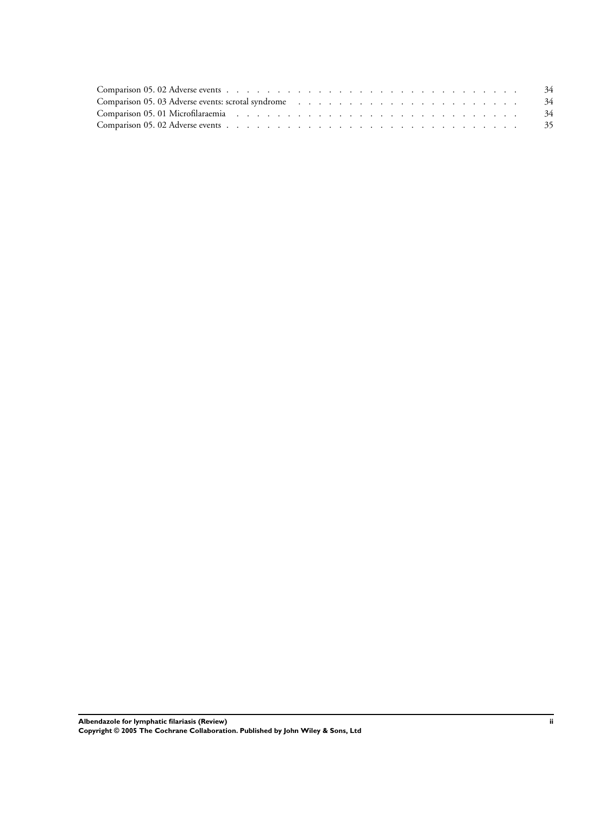| Comparison 05. 03 Adverse events: scrotal syndrome (a) and a series and a series of the series of the series of the series of the series of the series of the series of the series of the series of the series of the series o |  |  |  |  |  |  |  |  |  |  |  |
|--------------------------------------------------------------------------------------------------------------------------------------------------------------------------------------------------------------------------------|--|--|--|--|--|--|--|--|--|--|--|
| Comparison 05.01 Microfilaraemia et al., et al., et al., et al., et al., et al., et al., et al., et al., 34                                                                                                                    |  |  |  |  |  |  |  |  |  |  |  |
|                                                                                                                                                                                                                                |  |  |  |  |  |  |  |  |  |  |  |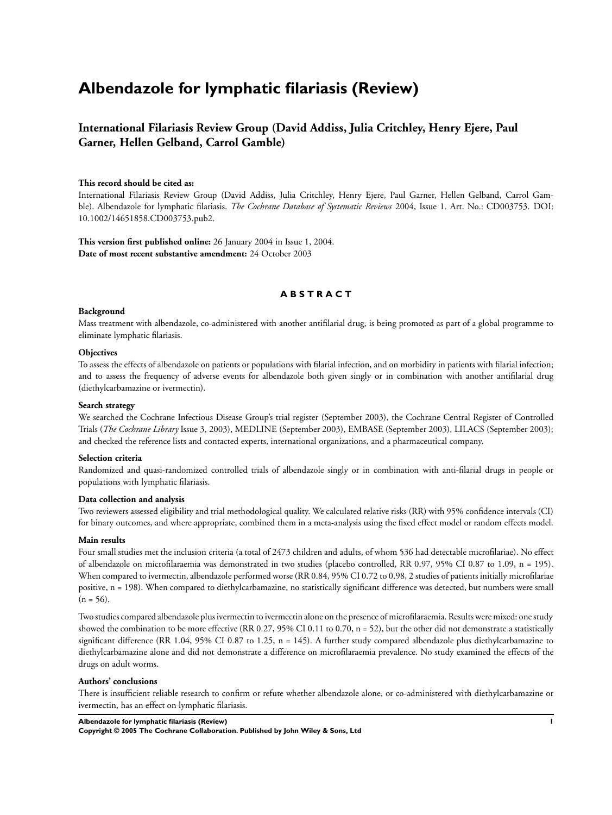# **Albendazole for lymphatic filariasis (Review)**

# **International Filariasis Review Group (David Addiss, Julia Critchley, Henry Ejere, Paul Garner, Hellen Gelband, Carrol Gamble)**

#### **This record should be cited as:**

International Filariasis Review Group (David Addiss, Julia Critchley, Henry Ejere, Paul Garner, Hellen Gelband, Carrol Gamble). Albendazole for lymphatic filariasis. *The Cochrane Database of Systematic Reviews* 2004, Issue 1. Art. No.: CD003753. DOI: 10.1002/14651858.CD003753.pub2.

**This version first published online:** 26 January 2004 in Issue 1, 2004. **Date of most recent substantive amendment:** 24 October 2003

# **A B S T R A C T**

#### **Background**

Mass treatment with albendazole, co-administered with another antifilarial drug, is being promoted as part of a global programme to eliminate lymphatic filariasis.

#### **Objectives**

To assess the effects of albendazole on patients or populations with filarial infection, and on morbidity in patients with filarial infection; and to assess the frequency of adverse events for albendazole both given singly or in combination with another antifilarial drug (diethylcarbamazine or ivermectin).

#### **Search strategy**

We searched the Cochrane Infectious Disease Group's trial register (September 2003), the Cochrane Central Register of Controlled Trials (*The Cochrane Library* Issue 3, 2003), MEDLINE (September 2003), EMBASE (September 2003), LILACS (September 2003); and checked the reference lists and contacted experts, international organizations, and a pharmaceutical company.

#### **Selection criteria**

Randomized and quasi-randomized controlled trials of albendazole singly or in combination with anti-filarial drugs in people or populations with lymphatic filariasis.

#### **Data collection and analysis**

Two reviewers assessed eligibility and trial methodological quality. We calculated relative risks (RR) with 95% confidence intervals (CI) for binary outcomes, and where appropriate, combined them in a meta-analysis using the fixed effect model or random effects model.

#### **Main results**

Four small studies met the inclusion criteria (a total of 2473 children and adults, of whom 536 had detectable microfilariae). No effect of albendazole on microfilaraemia was demonstrated in two studies (placebo controlled, RR 0.97, 95% CI 0.87 to 1.09, n = 195). When compared to ivermectin, albendazole performed worse (RR 0.84, 95% CI 0.72 to 0.98, 2 studies of patients initially microfilariae positive, n = 198). When compared to diethylcarbamazine, no statistically significant difference was detected, but numbers were small  $(n = 56)$ .

Two studies compared albendazole plus ivermectin to ivermectin alone on the presence of microfilaraemia. Results were mixed: one study showed the combination to be more effective (RR 0.27, 95% CI 0.11 to 0.70, n = 52), but the other did not demonstrate a statistically significant difference (RR 1.04, 95% CI 0.87 to 1.25, n = 145). A further study compared albendazole plus diethylcarbamazine to diethylcarbamazine alone and did not demonstrate a difference on microfilaraemia prevalence. No study examined the effects of the drugs on adult worms.

#### **Authors' conclusions**

There is insufficient reliable research to confirm or refute whether albendazole alone, or co-administered with diethylcarbamazine or ivermectin, has an effect on lymphatic filariasis.

#### **Albendazole for lymphatic filariasis (Review) 1**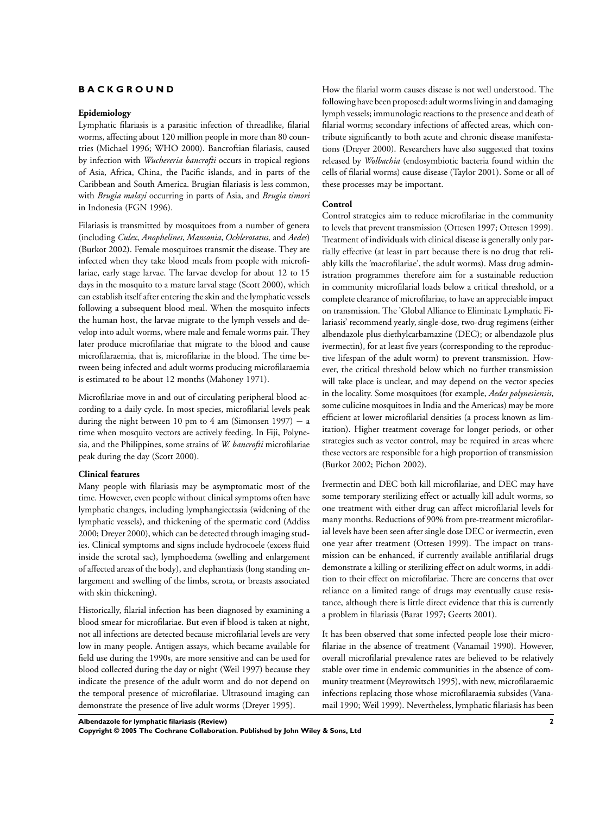## **B A C K G R O U N D**

#### **Epidemiology**

Lymphatic filariasis is a parasitic infection of threadlike, filarial worms, affecting about 120 million people in more than 80 countries (Michael 1996; WHO 2000). Bancroftian filariasis, caused by infection with *Wuchereria bancrofti* occurs in tropical regions of Asia, Africa, China, the Pacific islands, and in parts of the Caribbean and South America. Brugian filariasis is less common, with *Brugia malayi* occurring in parts of Asia, and *Brugia timori* in Indonesia (FGN 1996).

Filariasis is transmitted by mosquitoes from a number of genera (including *Culex*, *Anophelines*, *Mansonia*, *Ochlerotatus,* and *Aedes*) (Burkot 2002). Female mosquitoes transmit the disease. They are infected when they take blood meals from people with microfilariae, early stage larvae. The larvae develop for about 12 to 15 days in the mosquito to a mature larval stage (Scott 2000), which can establish itself after entering the skin and the lymphatic vessels following a subsequent blood meal. When the mosquito infects the human host, the larvae migrate to the lymph vessels and develop into adult worms, where male and female worms pair. They later produce microfilariae that migrate to the blood and cause microfilaraemia, that is, microfilariae in the blood. The time between being infected and adult worms producing microfilaraemia is estimated to be about 12 months (Mahoney 1971).

Microfilariae move in and out of circulating peripheral blood according to a daily cycle. In most species, microfilarial levels peak during the night between 10 pm to 4 am (Simonsen 1997)  $-$  a time when mosquito vectors are actively feeding. In Fiji, Polynesia, and the Philippines, some strains of *W. bancrofti* microfilariae peak during the day (Scott 2000).

#### **Clinical features**

Many people with filariasis may be asymptomatic most of the time. However, even people without clinical symptoms often have lymphatic changes, including lymphangiectasia (widening of the lymphatic vessels), and thickening of the spermatic cord (Addiss 2000; Dreyer 2000), which can be detected through imaging studies. Clinical symptoms and signs include hydrocoele (excess fluid inside the scrotal sac), lymphoedema (swelling and enlargement of affected areas of the body), and elephantiasis (long standing enlargement and swelling of the limbs, scrota, or breasts associated with skin thickening).

Historically, filarial infection has been diagnosed by examining a blood smear for microfilariae. But even if blood is taken at night, not all infections are detected because microfilarial levels are very low in many people. Antigen assays, which became available for field use during the 1990s, are more sensitive and can be used for blood collected during the day or night (Weil 1997) because they indicate the presence of the adult worm and do not depend on the temporal presence of microfilariae. Ultrasound imaging can demonstrate the presence of live adult worms (Dreyer 1995).

How the filarial worm causes disease is not well understood. The following have been proposed: adult worms living in and damaging lymph vessels; immunologic reactions to the presence and death of filarial worms; secondary infections of affected areas, which contribute significantly to both acute and chronic disease manifestations (Dreyer 2000). Researchers have also suggested that toxins released by *Wolbachia* (endosymbiotic bacteria found within the cells of filarial worms) cause disease (Taylor 2001). Some or all of these processes may be important.

#### **Control**

Control strategies aim to reduce microfilariae in the community to levels that prevent transmission (Ottesen 1997; Ottesen 1999). Treatment of individuals with clinical disease is generally only partially effective (at least in part because there is no drug that reliably kills the 'macrofilariae', the adult worms). Mass drug administration programmes therefore aim for a sustainable reduction in community microfilarial loads below a critical threshold, or a complete clearance of microfilariae, to have an appreciable impact on transmission. The 'Global Alliance to Eliminate Lymphatic Filariasis' recommend yearly, single-dose, two-drug regimens (either albendazole plus diethylcarbamazine (DEC); or albendazole plus ivermectin), for at least five years (corresponding to the reproductive lifespan of the adult worm) to prevent transmission. However, the critical threshold below which no further transmission will take place is unclear, and may depend on the vector species in the locality. Some mosquitoes (for example, *Aedes polynesiensis*, some culicine mosquitoes in India and the Americas) may be more efficient at lower microfilarial densities (a process known as limitation). Higher treatment coverage for longer periods, or other strategies such as vector control, may be required in areas where these vectors are responsible for a high proportion of transmission (Burkot 2002; Pichon 2002).

Ivermectin and DEC both kill microfilariae, and DEC may have some temporary sterilizing effect or actually kill adult worms, so one treatment with either drug can affect microfilarial levels for many months. Reductions of 90% from pre-treatment microfilarial levels have been seen after single dose DEC or ivermectin, even one year after treatment (Ottesen 1999). The impact on transmission can be enhanced, if currently available antifilarial drugs demonstrate a killing or sterilizing effect on adult worms, in addition to their effect on microfilariae. There are concerns that over reliance on a limited range of drugs may eventually cause resistance, although there is little direct evidence that this is currently a problem in filariasis (Barat 1997; Geerts 2001).

It has been observed that some infected people lose their microfilariae in the absence of treatment (Vanamail 1990). However, overall microfilarial prevalence rates are believed to be relatively stable over time in endemic communities in the absence of community treatment (Meyrowitsch 1995), with new, microfilaraemic infections replacing those whose microfilaraemia subsides (Vanamail 1990; Weil 1999). Nevertheless, lymphatic filariasis has been

**Albendazole for lymphatic filariasis (Review) 2**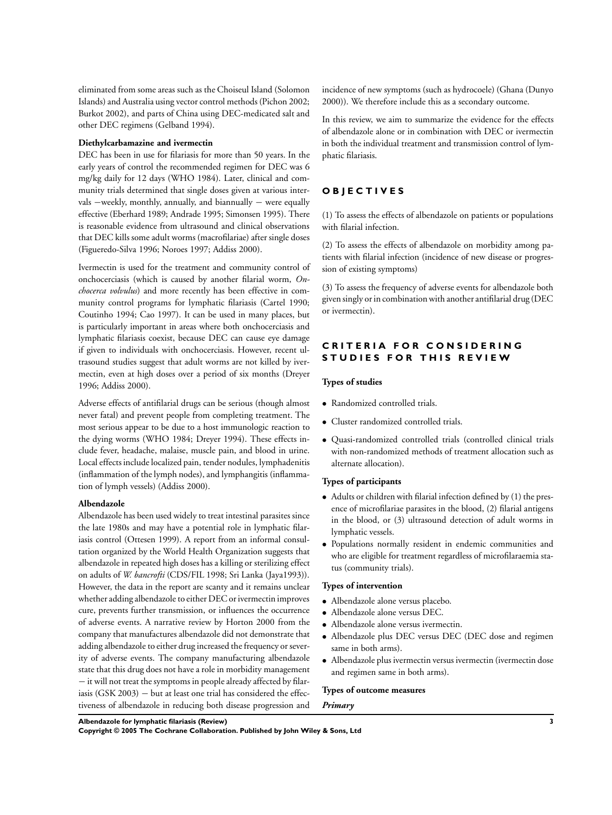eliminated from some areas such as the Choiseul Island (Solomon Islands) and Australia using vector control methods (Pichon 2002; Burkot 2002), and parts of China using DEC-medicated salt and other DEC regimens (Gelband 1994).

#### **Diethylcarbamazine and ivermectin**

DEC has been in use for filariasis for more than 50 years. In the early years of control the recommended regimen for DEC was 6 mg/kg daily for 12 days (WHO 1984). Later, clinical and community trials determined that single doses given at various intervals –weekly, monthly, annually, and biannually – were equally effective (Eberhard 1989; Andrade 1995; Simonsen 1995). There is reasonable evidence from ultrasound and clinical observations that DEC kills some adult worms (macrofilariae) after single doses (Figueredo-Silva 1996; Noroes 1997; Addiss 2000).

Ivermectin is used for the treatment and community control of onchocerciasis (which is caused by another filarial worm, *Onchocerca volvulus*) and more recently has been effective in community control programs for lymphatic filariasis (Cartel 1990; Coutinho 1994; Cao 1997). It can be used in many places, but is particularly important in areas where both onchocerciasis and lymphatic filariasis coexist, because DEC can cause eye damage if given to individuals with onchocerciasis. However, recent ultrasound studies suggest that adult worms are not killed by ivermectin, even at high doses over a period of six months (Dreyer 1996; Addiss 2000).

Adverse effects of antifilarial drugs can be serious (though almost never fatal) and prevent people from completing treatment. The most serious appear to be due to a host immunologic reaction to the dying worms (WHO 1984; Dreyer 1994). These effects include fever, headache, malaise, muscle pain, and blood in urine. Local effects include localized pain, tender nodules, lymphadenitis (inflammation of the lymph nodes), and lymphangitis (inflammation of lymph vessels) (Addiss 2000).

## **Albendazole**

Albendazole has been used widely to treat intestinal parasites since the late 1980s and may have a potential role in lymphatic filariasis control (Ottesen 1999). A report from an informal consultation organized by the World Health Organization suggests that albendazole in repeated high doses has a killing or sterilizing effect on adults of *W. bancrofti* (CDS/FIL 1998; Sri Lanka (Jaya1993)). However, the data in the report are scanty and it remains unclear whether adding albendazole to either DEC or ivermectin improves cure, prevents further transmission, or influences the occurrence of adverse events. A narrative review by Horton 2000 from the company that manufactures albendazole did not demonstrate that adding albendazole to either drug increased the frequency or severity of adverse events. The company manufacturing albendazole state that this drug does not have a role in morbidity management − it will not treat the symptoms in people already affected by filariasis (GSK 2003)  $-$  but at least one trial has considered the effectiveness of albendazole in reducing both disease progression and incidence of new symptoms (such as hydrocoele) (Ghana (Dunyo 2000)). We therefore include this as a secondary outcome.

In this review, we aim to summarize the evidence for the effects of albendazole alone or in combination with DEC or ivermectin in both the individual treatment and transmission control of lymphatic filariasis.

# **O B J E C T I V E S**

(1) To assess the effects of albendazole on patients or populations with filarial infection.

(2) To assess the effects of albendazole on morbidity among patients with filarial infection (incidence of new disease or progression of existing symptoms)

(3) To assess the frequency of adverse events for albendazole both given singly or in combination with another antifilarial drug (DEC or ivermectin).

# **CRITERIA FOR CONSIDERING STUDIES FOR THIS REVIEW**

#### **Types of studies**

- Randomized controlled trials.
- Cluster randomized controlled trials.
- Quasi-randomized controlled trials (controlled clinical trials with non-randomized methods of treatment allocation such as alternate allocation).

#### **Types of participants**

- Adults or children with filarial infection defined by (1) the presence of microfilariae parasites in the blood, (2) filarial antigens in the blood, or (3) ultrasound detection of adult worms in lymphatic vessels.
- Populations normally resident in endemic communities and who are eligible for treatment regardless of microfilaraemia status (community trials).

#### **Types of intervention**

- Albendazole alone versus placebo.
- Albendazole alone versus DEC.
- Albendazole alone versus ivermectin.
- Albendazole plus DEC versus DEC (DEC dose and regimen same in both arms).
- Albendazole plus ivermectin versus ivermectin (ivermectin dose and regimen same in both arms).

#### **Types of outcome measures**

#### *Primary*

**Albendazole for lymphatic filariasis (Review) 3**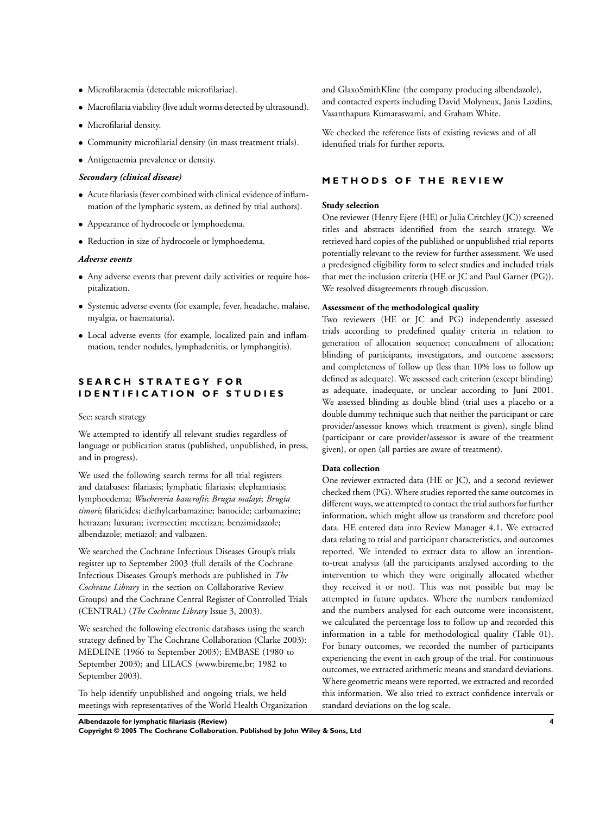- Microfilaraemia (detectable microfilariae).
- Macrofilaria viability (live adult worms detected by ultrasound).
- Microfilarial density.
- Community microfilarial density (in mass treatment trials).
- Antigenaemia prevalence or density.

#### *Secondary (clinical disease)*

- Acute filariasis (fever combined with clinical evidence of inflammation of the lymphatic system, as defined by trial authors).
- Appearance of hydrocoele or lymphoedema.
- Reduction in size of hydrocoele or lymphoedema.

#### *Adverse events*

- Any adverse events that prevent daily activities or require hospitalization.
- Systemic adverse events (for example, fever, headache, malaise, myalgia, or haematuria).
- Local adverse events (for example, localized pain and inflammation, tender nodules, lymphadenitis, or lymphangitis).

# **S E A R C H S T R A T E G Y F O R IDENTIFICATION OF STUDIES**

#### See: search strategy

We attempted to identify all relevant studies regardless of language or publication status (published, unpublished, in press, and in progress).

We used the following search terms for all trial registers and databases: filariasis; lymphatic filariasis; elephantiasis; lymphoedema; *Wuchereria bancrofti*; *Brugia malayi*; *Brugia timori*; filaricides; diethylcarbamazine; banocide; carbamazine; hetrazan; luxuran; ivermectin; mectizan; benzimidazole; albendazole; metiazol; and valbazen.

We searched the Cochrane Infectious Diseases Group's trials register up to September 2003 (full details of the Cochrane Infectious Diseases Group's methods are published in *The Cochrane Library* in the section on Collaborative Review Groups) and the Cochrane Central Register of Controlled Trials (CENTRAL) (*The Cochrane Library* Issue 3, 2003).

We searched the following electronic databases using the search strategy defined by The Cochrane Collaboration (Clarke 2003): MEDLINE (1966 to September 2003); EMBASE (1980 to September 2003); and LILACS (www.bireme.br; 1982 to September 2003).

To help identify unpublished and ongoing trials, we held meetings with representatives of the World Health Organization and GlaxoSmithKline (the company producing albendazole), and contacted experts including David Molyneux, Janis Lazdins, Vasanthapura Kumaraswami, and Graham White.

We checked the reference lists of existing reviews and of all identified trials for further reports.

# **METHODS OF THE REVIEW**

#### **Study selection**

One reviewer (Henry Ejere (HE) or Julia Critchley (JC)) screened titles and abstracts identified from the search strategy. We retrieved hard copies of the published or unpublished trial reports potentially relevant to the review for further assessment. We used a predesigned eligibility form to select studies and included trials that met the inclusion criteria (HE or JC and Paul Garner (PG)). We resolved disagreements through discussion.

# **Assessment of the methodological quality**

Two reviewers (HE or JC and PG) independently assessed trials according to predefined quality criteria in relation to generation of allocation sequence; concealment of allocation; blinding of participants, investigators, and outcome assessors; and completeness of follow up (less than 10% loss to follow up defined as adequate). We assessed each criterion (except blinding) as adequate, inadequate, or unclear according to Juni 2001. We assessed blinding as double blind (trial uses a placebo or a double dummy technique such that neither the participant or care provider/assessor knows which treatment is given), single blind (participant or care provider/assessor is aware of the treatment given), or open (all parties are aware of treatment).

## **Data collection**

One reviewer extracted data (HE or JC), and a second reviewer checked them (PG). Where studies reported the same outcomes in different ways, we attempted to contact the trial authors for further information, which might allow us transform and therefore pool data. HE entered data into Review Manager 4.1. We extracted data relating to trial and participant characteristics, and outcomes reported. We intended to extract data to allow an intentionto-treat analysis (all the participants analysed according to the intervention to which they were originally allocated whether they received it or not). This was not possible but may be attempted in future updates. Where the numbers randomized and the numbers analysed for each outcome were inconsistent, we calculated the percentage loss to follow up and recorded this information in a table for methodological quality (Table 01). For binary outcomes, we recorded the number of participants experiencing the event in each group of the trial. For continuous outcomes, we extracted arithmetic means and standard deviations. Where geometric means were reported, we extracted and recorded this information. We also tried to extract confidence intervals or standard deviations on the log scale.

**Albendazole for lymphatic filariasis (Review) 4**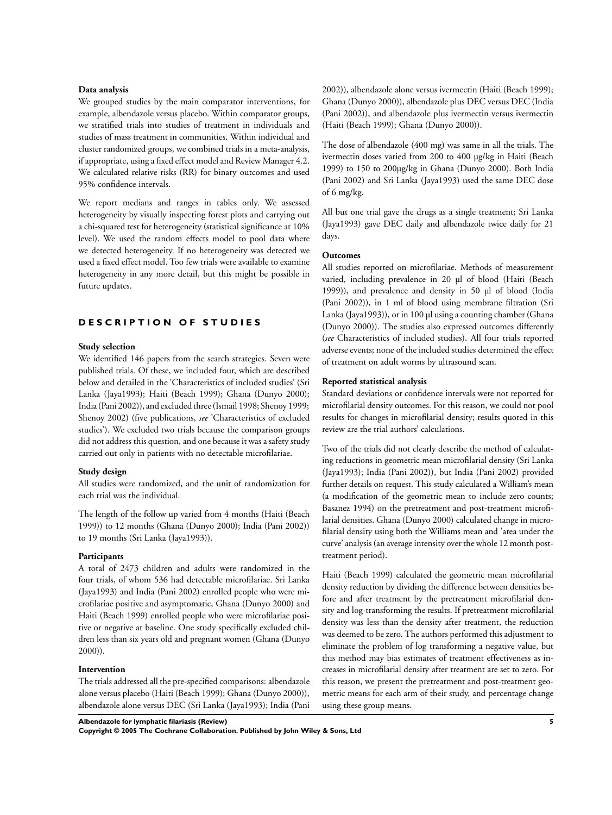#### **Data analysis**

We grouped studies by the main comparator interventions, for example, albendazole versus placebo. Within comparator groups, we stratified trials into studies of treatment in individuals and studies of mass treatment in communities. Within individual and cluster randomized groups, we combined trials in a meta-analysis, if appropriate, using a fixed effect model and Review Manager 4.2. We calculated relative risks (RR) for binary outcomes and used 95% confidence intervals.

We report medians and ranges in tables only. We assessed heterogeneity by visually inspecting forest plots and carrying out a chi-squared test for heterogeneity (statistical significance at 10% level). We used the random effects model to pool data where we detected heterogeneity. If no heterogeneity was detected we used a fixed effect model. Too few trials were available to examine heterogeneity in any more detail, but this might be possible in future updates.

#### **DESCRIPTION OF STUDIES**

#### **Study selection**

We identified 146 papers from the search strategies. Seven were published trials. Of these, we included four, which are described below and detailed in the 'Characteristics of included studies' (Sri Lanka (Jaya1993); Haiti (Beach 1999); Ghana (Dunyo 2000); India (Pani 2002)), and excluded three (Ismail 1998; Shenoy 1999; Shenoy 2002) (five publications, *see* 'Characteristics of excluded studies'). We excluded two trials because the comparison groups did not address this question, and one because it was a safety study carried out only in patients with no detectable microfilariae.

#### **Study design**

All studies were randomized, and the unit of randomization for each trial was the individual.

The length of the follow up varied from 4 months (Haiti (Beach 1999)) to 12 months (Ghana (Dunyo 2000); India (Pani 2002)) to 19 months (Sri Lanka (Jaya1993)).

#### **Participants**

A total of 2473 children and adults were randomized in the four trials, of whom 536 had detectable microfilariae. Sri Lanka (Jaya1993) and India (Pani 2002) enrolled people who were microfilariae positive and asymptomatic, Ghana (Dunyo 2000) and Haiti (Beach 1999) enrolled people who were microfilariae positive or negative at baseline. One study specifically excluded children less than six years old and pregnant women (Ghana (Dunyo 2000)).

#### **Intervention**

The trials addressed all the pre-specified comparisons: albendazole alone versus placebo (Haiti (Beach 1999); Ghana (Dunyo 2000)), albendazole alone versus DEC (Sri Lanka (Jaya1993); India (Pani

2002)), albendazole alone versus ivermectin (Haiti (Beach 1999); Ghana (Dunyo 2000)), albendazole plus DEC versus DEC (India (Pani 2002)), and albendazole plus ivermectin versus ivermectin (Haiti (Beach 1999); Ghana (Dunyo 2000)).

The dose of albendazole (400 mg) was same in all the trials. The ivermectin doses varied from 200 to 400 µg/kg in Haiti (Beach 1999) to 150 to 200µg/kg in Ghana (Dunyo 2000). Both India (Pani 2002) and Sri Lanka (Jaya1993) used the same DEC dose of 6 mg/kg.

All but one trial gave the drugs as a single treatment; Sri Lanka (Jaya1993) gave DEC daily and albendazole twice daily for 21 days.

# **Outcomes**

All studies reported on microfilariae. Methods of measurement varied, including prevalence in 20 µl of blood (Haiti (Beach 1999)), and prevalence and density in 50 µl of blood (India (Pani 2002)), in 1 ml of blood using membrane filtration (Sri Lanka (Jaya1993)), or in 100 µl using a counting chamber (Ghana (Dunyo 2000)). The studies also expressed outcomes differently (*see* Characteristics of included studies). All four trials reported adverse events; none of the included studies determined the effect of treatment on adult worms by ultrasound scan.

#### **Reported statistical analysis**

Standard deviations or confidence intervals were not reported for microfilarial density outcomes. For this reason, we could not pool results for changes in microfilarial density; results quoted in this review are the trial authors' calculations.

Two of the trials did not clearly describe the method of calculating reductions in geometric mean microfilarial density (Sri Lanka (Jaya1993); India (Pani 2002)), but India (Pani 2002) provided further details on request. This study calculated a William's mean (a modification of the geometric mean to include zero counts; Basanez 1994) on the pretreatment and post-treatment microfilarial densities. Ghana (Dunyo 2000) calculated change in microfilarial density using both the Williams mean and 'area under the curve' analysis (an average intensity over the whole 12 month posttreatment period).

Haiti (Beach 1999) calculated the geometric mean microfilarial density reduction by dividing the difference between densities before and after treatment by the pretreatment microfilarial density and log-transforming the results. If pretreatment microfilarial density was less than the density after treatment, the reduction was deemed to be zero. The authors performed this adjustment to eliminate the problem of log transforming a negative value, but this method may bias estimates of treatment effectiveness as increases in microfilarial density after treatment are set to zero. For this reason, we present the pretreatment and post-treatment geometric means for each arm of their study, and percentage change using these group means.

**Albendazole for lymphatic filariasis (Review) 5**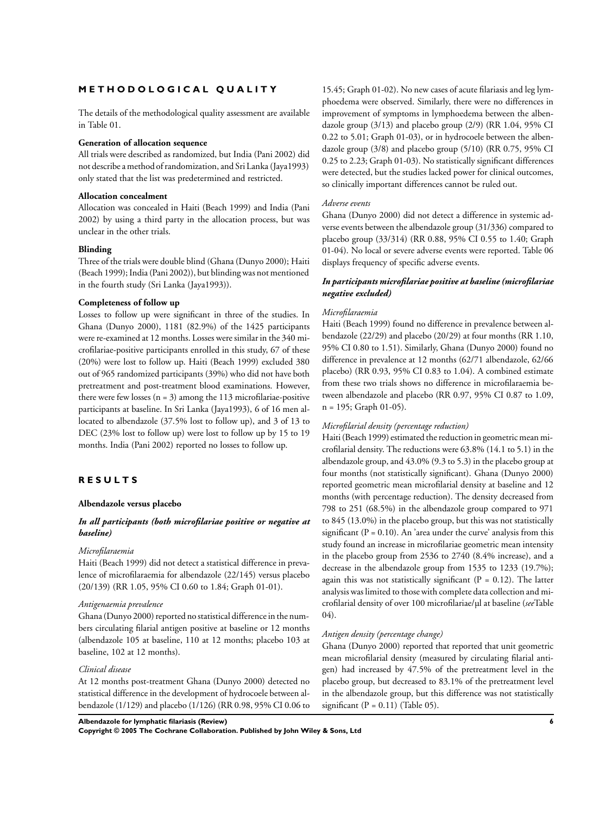## **M E T H O D O L O G I C A L Q U A L I T Y**

The details of the methodological quality assessment are available in Table 01.

#### **Generation of allocation sequence**

All trials were described as randomized, but India (Pani 2002) did not describe a method of randomization, and Sri Lanka (Jaya1993) only stated that the list was predetermined and restricted.

#### **Allocation concealment**

Allocation was concealed in Haiti (Beach 1999) and India (Pani 2002) by using a third party in the allocation process, but was unclear in the other trials.

#### **Blinding**

Three of the trials were double blind (Ghana (Dunyo 2000); Haiti (Beach 1999); India (Pani 2002)), but blinding was not mentioned in the fourth study (Sri Lanka (Jaya1993)).

#### **Completeness of follow up**

Losses to follow up were significant in three of the studies. In Ghana (Dunyo 2000), 1181 (82.9%) of the 1425 participants were re-examined at 12 months. Losses were similar in the 340 microfilariae-positive participants enrolled in this study, 67 of these (20%) were lost to follow up. Haiti (Beach 1999) excluded 380 out of 965 randomized participants (39%) who did not have both pretreatment and post-treatment blood examinations. However, there were few losses  $(n = 3)$  among the 113 microfilariae-positive participants at baseline. In Sri Lanka (Jaya1993), 6 of 16 men allocated to albendazole (37.5% lost to follow up), and 3 of 13 to DEC (23% lost to follow up) were lost to follow up by 15 to 19 months. India (Pani 2002) reported no losses to follow up.

#### **R E S U L T S**

## **Albendazole versus placebo**

# *In all participants (both microfilariae positive or negative at baseline)*

#### *Microfilaraemia*

Haiti (Beach 1999) did not detect a statistical difference in prevalence of microfilaraemia for albendazole (22/145) versus placebo (20/139) (RR 1.05, 95% CI 0.60 to 1.84; Graph 01-01).

#### *Antigenaemia prevalence*

Ghana (Dunyo 2000) reported no statistical difference in the numbers circulating filarial antigen positive at baseline or 12 months (albendazole 105 at baseline, 110 at 12 months; placebo 103 at baseline, 102 at 12 months).

#### *Clinical disease*

At 12 months post-treatment Ghana (Dunyo 2000) detected no statistical difference in the development of hydrocoele between albendazole (1/129) and placebo (1/126) (RR 0.98, 95% CI 0.06 to

15.45; Graph 01-02). No new cases of acute filariasis and leg lymphoedema were observed. Similarly, there were no differences in improvement of symptoms in lymphoedema between the albendazole group (3/13) and placebo group (2/9) (RR 1.04, 95% CI 0.22 to 5.01; Graph 01-03), or in hydrocoele between the albendazole group (3/8) and placebo group (5/10) (RR 0.75, 95% CI 0.25 to 2.23; Graph 01-03). No statistically significant differences were detected, but the studies lacked power for clinical outcomes, so clinically important differences cannot be ruled out.

#### *Adverse events*

Ghana (Dunyo 2000) did not detect a difference in systemic adverse events between the albendazole group (31/336) compared to placebo group (33/314) (RR 0.88, 95% CI 0.55 to 1.40; Graph 01-04). No local or severe adverse events were reported. Table 06 displays frequency of specific adverse events.

#### *In participants microfilariae positive at baseline (microfilariae negative excluded)*

#### *Microfilaraemia*

Haiti (Beach 1999) found no difference in prevalence between albendazole (22/29) and placebo (20/29) at four months (RR 1.10, 95% CI 0.80 to 1.51). Similarly, Ghana (Dunyo 2000) found no difference in prevalence at 12 months (62/71 albendazole, 62/66 placebo) (RR 0.93, 95% CI 0.83 to 1.04). A combined estimate from these two trials shows no difference in microfilaraemia between albendazole and placebo (RR 0.97, 95% CI 0.87 to 1.09, n = 195; Graph 01-05).

#### *Microfilarial density (percentage reduction)*

Haiti (Beach 1999) estimated the reduction in geometric mean microfilarial density. The reductions were 63.8% (14.1 to 5.1) in the albendazole group, and 43.0% (9.3 to 5.3) in the placebo group at four months (not statistically significant). Ghana (Dunyo 2000) reported geometric mean microfilarial density at baseline and 12 months (with percentage reduction). The density decreased from 798 to 251 (68.5%) in the albendazole group compared to 971 to 845 (13.0%) in the placebo group, but this was not statistically significant ( $P = 0.10$ ). An 'area under the curve' analysis from this study found an increase in microfilariae geometric mean intensity in the placebo group from 2536 to 2740 (8.4% increase), and a decrease in the albendazole group from 1535 to 1233 (19.7%); again this was not statistically significant ( $P = 0.12$ ). The latter analysis was limited to those with complete data collection and microfilarial density of over 100 microfilariae/µl at baseline (*see*Table 04).

#### *Antigen density (percentage change)*

Ghana (Dunyo 2000) reported that reported that unit geometric mean microfilarial density (measured by circulating filarial antigen) had increased by 47.5% of the pretreatment level in the placebo group, but decreased to 83.1% of the pretreatment level in the albendazole group, but this difference was not statistically significant ( $P = 0.11$ ) (Table 05).

**Albendazole for lymphatic filariasis (Review) 6**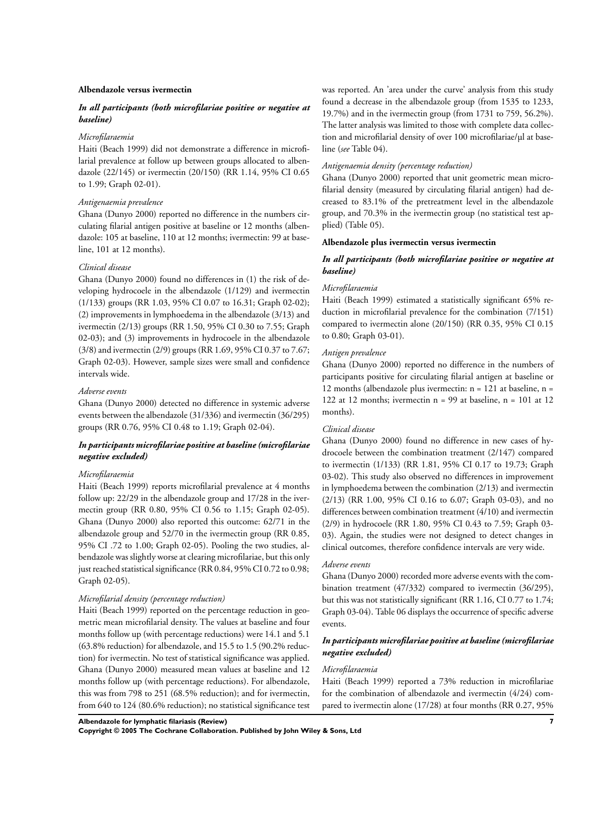#### **Albendazole versus ivermectin**

## *In all participants (both microfilariae positive or negative at baseline)*

#### *Microfilaraemia*

Haiti (Beach 1999) did not demonstrate a difference in microfilarial prevalence at follow up between groups allocated to albendazole (22/145) or ivermectin (20/150) (RR 1.14, 95% CI 0.65 to 1.99; Graph 02-01).

#### *Antigenaemia prevalence*

Ghana (Dunyo 2000) reported no difference in the numbers circulating filarial antigen positive at baseline or 12 months (albendazole: 105 at baseline, 110 at 12 months; ivermectin: 99 at baseline, 101 at 12 months).

# *Clinical disease*

Ghana (Dunyo 2000) found no differences in (1) the risk of developing hydrocoele in the albendazole (1/129) and ivermectin (1/133) groups (RR 1.03, 95% CI 0.07 to 16.31; Graph 02-02); (2) improvements in lymphoedema in the albendazole (3/13) and ivermectin (2/13) groups (RR 1.50, 95% CI 0.30 to 7.55; Graph 02-03); and (3) improvements in hydrocoele in the albendazole (3/8) and ivermectin (2/9) groups (RR 1.69, 95% CI 0.37 to 7.67; Graph 02-03). However, sample sizes were small and confidence intervals wide.

#### *Adverse events*

Ghana (Dunyo 2000) detected no difference in systemic adverse events between the albendazole (31/336) and ivermectin (36/295) groups (RR 0.76, 95% CI 0.48 to 1.19; Graph 02-04).

#### *In participants microfilariae positive at baseline (microfilariae negative excluded)*

# *Microfilaraemia*

Haiti (Beach 1999) reports microfilarial prevalence at 4 months follow up: 22/29 in the albendazole group and 17/28 in the ivermectin group (RR 0.80, 95% CI 0.56 to 1.15; Graph 02-05). Ghana (Dunyo 2000) also reported this outcome: 62/71 in the albendazole group and 52/70 in the ivermectin group (RR 0.85, 95% CI .72 to 1.00; Graph 02-05). Pooling the two studies, albendazole was slightly worse at clearing microfilariae, but this only just reached statistical significance (RR 0.84, 95% CI 0.72 to 0.98; Graph 02-05).

#### *Microfilarial density (percentage reduction)*

Haiti (Beach 1999) reported on the percentage reduction in geometric mean microfilarial density. The values at baseline and four months follow up (with percentage reductions) were 14.1 and 5.1 (63.8% reduction) for albendazole, and 15.5 to 1.5 (90.2% reduction) for ivermectin. No test of statistical significance was applied. Ghana (Dunyo 2000) measured mean values at baseline and 12 months follow up (with percentage reductions). For albendazole, this was from 798 to 251 (68.5% reduction); and for ivermectin, from 640 to 124 (80.6% reduction); no statistical significance test was reported. An 'area under the curve' analysis from this study found a decrease in the albendazole group (from 1535 to 1233, 19.7%) and in the ivermectin group (from 1731 to 759, 56.2%). The latter analysis was limited to those with complete data collection and microfilarial density of over 100 microfilariae/µl at baseline (*see* Table 04).

#### *Antigenaemia density (percentage reduction)*

Ghana (Dunyo 2000) reported that unit geometric mean microfilarial density (measured by circulating filarial antigen) had decreased to 83.1% of the pretreatment level in the albendazole group, and 70.3% in the ivermectin group (no statistical test applied) (Table 05).

# **Albendazole plus ivermectin versus ivermectin**

#### *In all participants (both microfilariae positive or negative at baseline)*

#### *Microfilaraemia*

Haiti (Beach 1999) estimated a statistically significant 65% reduction in microfilarial prevalence for the combination (7/151) compared to ivermectin alone (20/150) (RR 0.35, 95% CI 0.15 to 0.80; Graph 03-01).

#### *Antigen prevalence*

Ghana (Dunyo 2000) reported no difference in the numbers of participants positive for circulating filarial antigen at baseline or 12 months (albendazole plus ivermectin:  $n = 121$  at baseline,  $n =$ 122 at 12 months; ivermectin  $n = 99$  at baseline,  $n = 101$  at 12 months).

#### *Clinical disease*

Ghana (Dunyo 2000) found no difference in new cases of hydrocoele between the combination treatment (2/147) compared to ivermectin (1/133) (RR 1.81, 95% CI 0.17 to 19.73; Graph 03-02). This study also observed no differences in improvement in lymphoedema between the combination (2/13) and ivermectin (2/13) (RR 1.00, 95% CI 0.16 to 6.07; Graph 03-03), and no differences between combination treatment (4/10) and ivermectin (2/9) in hydrocoele (RR 1.80, 95% CI 0.43 to 7.59; Graph 03- 03). Again, the studies were not designed to detect changes in clinical outcomes, therefore confidence intervals are very wide.

#### *Adverse events*

Ghana (Dunyo 2000) recorded more adverse events with the combination treatment (47/332) compared to ivermectin (36/295), but this was not statistically significant (RR 1.16, CI 0.77 to 1.74; Graph 03-04). Table 06 displays the occurrence of specific adverse events.

# *In participants microfilariae positive at baseline (microfilariae negative excluded)*

#### *Microfilaraemia*

Haiti (Beach 1999) reported a 73% reduction in microfilariae for the combination of albendazole and ivermectin (4/24) compared to ivermectin alone (17/28) at four months (RR 0.27, 95%

**Albendazole for lymphatic filariasis (Review) 7**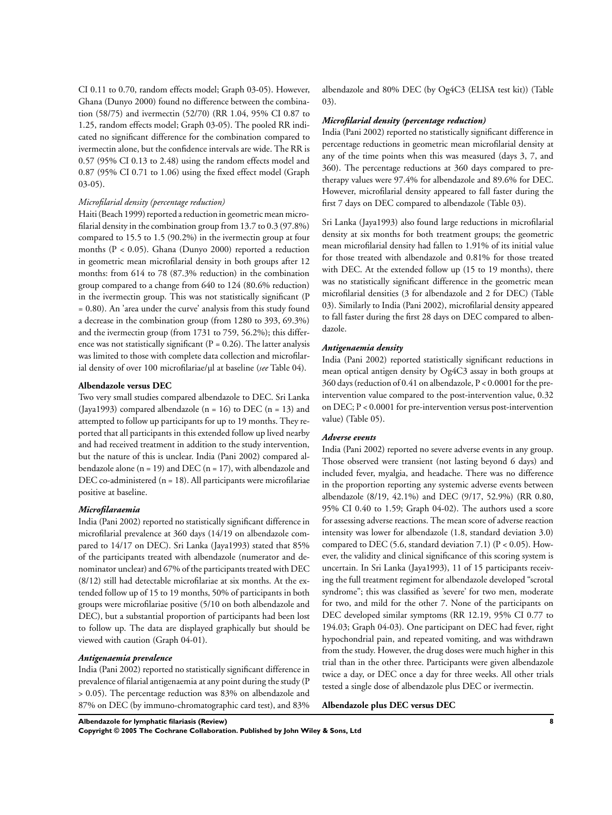CI 0.11 to 0.70, random effects model; Graph 03-05). However, Ghana (Dunyo 2000) found no difference between the combination (58/75) and ivermectin (52/70) (RR 1.04, 95% CI 0.87 to 1.25, random effects model; Graph 03-05). The pooled RR indicated no significant difference for the combination compared to ivermectin alone, but the confidence intervals are wide. The RR is 0.57 (95% CI 0.13 to 2.48) using the random effects model and 0.87 (95% CI 0.71 to 1.06) using the fixed effect model (Graph 03-05).

#### *Microfilarial density (percentage reduction)*

Haiti (Beach 1999) reported a reduction in geometric mean microfilarial density in the combination group from 13.7 to 0.3 (97.8%) compared to 15.5 to 1.5 (90.2%) in the ivermectin group at four months (P < 0.05). Ghana (Dunyo 2000) reported a reduction in geometric mean microfilarial density in both groups after 12 months: from 614 to 78 (87.3% reduction) in the combination group compared to a change from 640 to 124 (80.6% reduction) in the ivermectin group. This was not statistically significant (P = 0.80). An 'area under the curve' analysis from this study found a decrease in the combination group (from 1280 to 393, 69.3%) and the ivermectin group (from 1731 to 759, 56.2%); this difference was not statistically significant ( $P = 0.26$ ). The latter analysis was limited to those with complete data collection and microfilarial density of over 100 microfilariae/µl at baseline (*see* Table 04).

#### **Albendazole versus DEC**

Two very small studies compared albendazole to DEC. Sri Lanka (Jaya1993) compared albendazole (n = 16) to DEC (n = 13) and attempted to follow up participants for up to 19 months. They reported that all participants in this extended follow up lived nearby and had received treatment in addition to the study intervention, but the nature of this is unclear. India (Pani 2002) compared albendazole alone ( $n = 19$ ) and DEC ( $n = 17$ ), with albendazole and DEC co-administered (n = 18). All participants were microfilariae positive at baseline.

#### *Microfilaraemia*

India (Pani 2002) reported no statistically significant difference in microfilarial prevalence at 360 days (14/19 on albendazole compared to 14/17 on DEC). Sri Lanka (Jaya1993) stated that 85% of the participants treated with albendazole (numerator and denominator unclear) and 67% of the participants treated with DEC (8/12) still had detectable microfilariae at six months. At the extended follow up of 15 to 19 months, 50% of participants in both groups were microfilariae positive (5/10 on both albendazole and DEC), but a substantial proportion of participants had been lost to follow up. The data are displayed graphically but should be viewed with caution (Graph 04-01).

#### *Antigenaemia prevalence*

India (Pani 2002) reported no statistically significant difference in prevalence of filarial antigenaemia at any point during the study (P > 0.05). The percentage reduction was 83% on albendazole and 87% on DEC (by immuno-chromatographic card test), and 83% albendazole and 80% DEC (by Og4C3 (ELISA test kit)) (Table 03).

#### *Microfilarial density (percentage reduction)*

India (Pani 2002) reported no statistically significant difference in percentage reductions in geometric mean microfilarial density at any of the time points when this was measured (days 3, 7, and 360). The percentage reductions at 360 days compared to pretherapy values were 97.4% for albendazole and 89.6% for DEC. However, microfilarial density appeared to fall faster during the first 7 days on DEC compared to albendazole (Table 03).

Sri Lanka (Jaya1993) also found large reductions in microfilarial density at six months for both treatment groups; the geometric mean microfilarial density had fallen to 1.91% of its initial value for those treated with albendazole and 0.81% for those treated with DEC. At the extended follow up (15 to 19 months), there was no statistically significant difference in the geometric mean microfilarial densities (3 for albendazole and 2 for DEC) (Table 03). Similarly to India (Pani 2002), microfilarial density appeared to fall faster during the first 28 days on DEC compared to albendazole.

#### *Antigenaemia density*

India (Pani 2002) reported statistically significant reductions in mean optical antigen density by Og4C3 assay in both groups at 360 days (reduction of 0.41 on albendazole, P < 0.0001 for the preintervention value compared to the post-intervention value, 0.32 on DEC; P < 0.0001 for pre-intervention versus post-intervention value) (Table 05).

#### *Adverse events*

India (Pani 2002) reported no severe adverse events in any group. Those observed were transient (not lasting beyond 6 days) and included fever, myalgia, and headache. There was no difference in the proportion reporting any systemic adverse events between albendazole (8/19, 42.1%) and DEC (9/17, 52.9%) (RR 0.80, 95% CI 0.40 to 1.59; Graph 04-02). The authors used a score for assessing adverse reactions. The mean score of adverse reaction intensity was lower for albendazole (1.8, standard deviation 3.0) compared to DEC (5.6, standard deviation 7.1) ( $P < 0.05$ ). However, the validity and clinical significance of this scoring system is uncertain. In Sri Lanka (Jaya1993), 11 of 15 participants receiving the full treatment regiment for albendazole developed "scrotal syndrome"; this was classified as 'severe' for two men, moderate for two, and mild for the other 7. None of the participants on DEC developed similar symptoms (RR 12.19, 95% CI 0.77 to 194.03; Graph 04-03). One participant on DEC had fever, right hypochondrial pain, and repeated vomiting, and was withdrawn from the study. However, the drug doses were much higher in this trial than in the other three. Participants were given albendazole twice a day, or DEC once a day for three weeks. All other trials tested a single dose of albendazole plus DEC or ivermectin.

#### **Albendazole plus DEC versus DEC**

**Albendazole for lymphatic filariasis (Review) 8**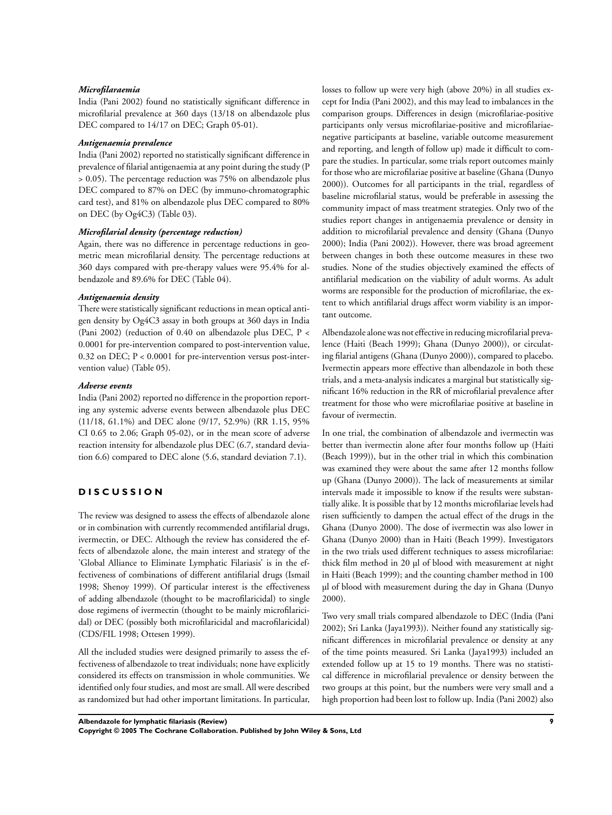#### *Microfilaraemia*

India (Pani 2002) found no statistically significant difference in microfilarial prevalence at 360 days (13/18 on albendazole plus DEC compared to 14/17 on DEC; Graph 05-01).

#### *Antigenaemia prevalence*

India (Pani 2002) reported no statistically significant difference in prevalence of filarial antigenaemia at any point during the study (P > 0.05). The percentage reduction was 75% on albendazole plus DEC compared to 87% on DEC (by immuno-chromatographic card test), and 81% on albendazole plus DEC compared to 80% on DEC (by Og4C3) (Table 03).

#### *Microfilarial density (percentage reduction)*

Again, there was no difference in percentage reductions in geometric mean microfilarial density. The percentage reductions at 360 days compared with pre-therapy values were 95.4% for albendazole and 89.6% for DEC (Table 04).

#### *Antigenaemia density*

There were statistically significant reductions in mean optical antigen density by Og4C3 assay in both groups at 360 days in India (Pani 2002) (reduction of 0.40 on albendazole plus DEC, P < 0.0001 for pre-intervention compared to post-intervention value, 0.32 on DEC; P < 0.0001 for pre-intervention versus post-intervention value) (Table 05).

#### *Adverse events*

India (Pani 2002) reported no difference in the proportion reporting any systemic adverse events between albendazole plus DEC (11/18, 61.1%) and DEC alone (9/17, 52.9%) (RR 1.15, 95% CI 0.65 to 2.06; Graph 05-02), or in the mean score of adverse reaction intensity for albendazole plus DEC (6.7, standard deviation 6.6) compared to DEC alone (5.6, standard deviation 7.1).

# **D I S C U S S I O N**

The review was designed to assess the effects of albendazole alone or in combination with currently recommended antifilarial drugs, ivermectin, or DEC. Although the review has considered the effects of albendazole alone, the main interest and strategy of the 'Global Alliance to Eliminate Lymphatic Filariasis' is in the effectiveness of combinations of different antifilarial drugs (Ismail 1998; Shenoy 1999). Of particular interest is the effectiveness of adding albendazole (thought to be macrofilaricidal) to single dose regimens of ivermectin (thought to be mainly microfilaricidal) or DEC (possibly both microfilaricidal and macrofilaricidal) (CDS/FIL 1998; Ottesen 1999).

All the included studies were designed primarily to assess the effectiveness of albendazole to treat individuals; none have explicitly considered its effects on transmission in whole communities. We identified only four studies, and most are small. All were described as randomized but had other important limitations. In particular, losses to follow up were very high (above 20%) in all studies except for India (Pani 2002), and this may lead to imbalances in the comparison groups. Differences in design (microfilariae-positive participants only versus microfilariae-positive and microfilariaenegative participants at baseline, variable outcome measurement and reporting, and length of follow up) made it difficult to compare the studies. In particular, some trials report outcomes mainly for those who are microfilariae positive at baseline (Ghana (Dunyo 2000)). Outcomes for all participants in the trial, regardless of baseline microfilarial status, would be preferable in assessing the community impact of mass treatment strategies. Only two of the studies report changes in antigenaemia prevalence or density in addition to microfilarial prevalence and density (Ghana (Dunyo 2000); India (Pani 2002)). However, there was broad agreement between changes in both these outcome measures in these two studies. None of the studies objectively examined the effects of antifilarial medication on the viability of adult worms. As adult worms are responsible for the production of microfilariae, the extent to which antifilarial drugs affect worm viability is an important outcome.

Albendazole alone was not effective in reducing microfilarial prevalence (Haiti (Beach 1999); Ghana (Dunyo 2000)), or circulating filarial antigens (Ghana (Dunyo 2000)), compared to placebo. Ivermectin appears more effective than albendazole in both these trials, and a meta-analysis indicates a marginal but statistically significant 16% reduction in the RR of microfilarial prevalence after treatment for those who were microfilariae positive at baseline in favour of ivermectin.

In one trial, the combination of albendazole and ivermectin was better than ivermectin alone after four months follow up (Haiti (Beach 1999)), but in the other trial in which this combination was examined they were about the same after 12 months follow up (Ghana (Dunyo 2000)). The lack of measurements at similar intervals made it impossible to know if the results were substantially alike. It is possible that by 12 months microfilariae levels had risen sufficiently to dampen the actual effect of the drugs in the Ghana (Dunyo 2000). The dose of ivermectin was also lower in Ghana (Dunyo 2000) than in Haiti (Beach 1999). Investigators in the two trials used different techniques to assess microfilariae: thick film method in 20 µl of blood with measurement at night in Haiti (Beach 1999); and the counting chamber method in 100 µl of blood with measurement during the day in Ghana (Dunyo 2000).

Two very small trials compared albendazole to DEC (India (Pani 2002); Sri Lanka (Jaya1993)). Neither found any statistically significant differences in microfilarial prevalence or density at any of the time points measured. Sri Lanka (Jaya1993) included an extended follow up at 15 to 19 months. There was no statistical difference in microfilarial prevalence or density between the two groups at this point, but the numbers were very small and a high proportion had been lost to follow up. India (Pani 2002) also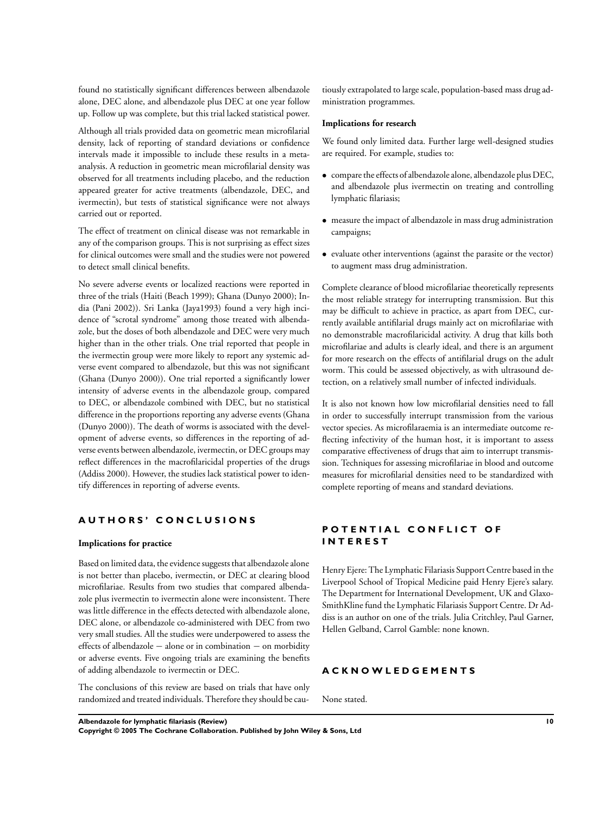found no statistically significant differences between albendazole alone, DEC alone, and albendazole plus DEC at one year follow up. Follow up was complete, but this trial lacked statistical power.

Although all trials provided data on geometric mean microfilarial density, lack of reporting of standard deviations or confidence intervals made it impossible to include these results in a metaanalysis. A reduction in geometric mean microfilarial density was observed for all treatments including placebo, and the reduction appeared greater for active treatments (albendazole, DEC, and ivermectin), but tests of statistical significance were not always carried out or reported.

The effect of treatment on clinical disease was not remarkable in any of the comparison groups. This is not surprising as effect sizes for clinical outcomes were small and the studies were not powered to detect small clinical benefits.

No severe adverse events or localized reactions were reported in three of the trials (Haiti (Beach 1999); Ghana (Dunyo 2000); India (Pani 2002)). Sri Lanka (Jaya1993) found a very high incidence of "scrotal syndrome" among those treated with albendazole, but the doses of both albendazole and DEC were very much higher than in the other trials. One trial reported that people in the ivermectin group were more likely to report any systemic adverse event compared to albendazole, but this was not significant (Ghana (Dunyo 2000)). One trial reported a significantly lower intensity of adverse events in the albendazole group, compared to DEC, or albendazole combined with DEC, but no statistical difference in the proportions reporting any adverse events (Ghana (Dunyo 2000)). The death of worms is associated with the development of adverse events, so differences in the reporting of adverse events between albendazole, ivermectin, or DEC groups may reflect differences in the macrofilaricidal properties of the drugs (Addiss 2000). However, the studies lack statistical power to identify differences in reporting of adverse events.

## **A U T H O R S ' C O N C L U S I O N S**

#### **Implications for practice**

Based on limited data, the evidence suggests that albendazole alone is not better than placebo, ivermectin, or DEC at clearing blood microfilariae. Results from two studies that compared albendazole plus ivermectin to ivermectin alone were inconsistent. There was little difference in the effects detected with albendazole alone, DEC alone, or albendazole co-administered with DEC from two very small studies. All the studies were underpowered to assess the effects of albendazole − alone or in combination − on morbidity or adverse events. Five ongoing trials are examining the benefits of adding albendazole to ivermectin or DEC.

The conclusions of this review are based on trials that have only randomized and treated individuals. Therefore they should be cau-

tiously extrapolated to large scale, population-based mass drug administration programmes.

#### **Implications for research**

We found only limited data. Further large well-designed studies are required. For example, studies to:

- compare the effects of albendazole alone, albendazole plus DEC, and albendazole plus ivermectin on treating and controlling lymphatic filariasis;
- measure the impact of albendazole in mass drug administration campaigns;
- evaluate other interventions (against the parasite or the vector) to augment mass drug administration.

Complete clearance of blood microfilariae theoretically represents the most reliable strategy for interrupting transmission. But this may be difficult to achieve in practice, as apart from DEC, currently available antifilarial drugs mainly act on microfilariae with no demonstrable macrofilaricidal activity. A drug that kills both microfilariae and adults is clearly ideal, and there is an argument for more research on the effects of antifilarial drugs on the adult worm. This could be assessed objectively, as with ultrasound detection, on a relatively small number of infected individuals.

It is also not known how low microfilarial densities need to fall in order to successfully interrupt transmission from the various vector species. As microfilaraemia is an intermediate outcome reflecting infectivity of the human host, it is important to assess comparative effectiveness of drugs that aim to interrupt transmission. Techniques for assessing microfilariae in blood and outcome measures for microfilarial densities need to be standardized with complete reporting of means and standard deviations.

# **POTENTIAL CONFLICT OF I N T E R E S T**

Henry Ejere: The Lymphatic Filariasis Support Centre based in the Liverpool School of Tropical Medicine paid Henry Ejere's salary. The Department for International Development, UK and Glaxo-SmithKline fund the Lymphatic Filariasis Support Centre. Dr Addiss is an author on one of the trials. Julia Critchley, Paul Garner, Hellen Gelband, Carrol Gamble: none known.

#### **A C K N O W L E D G E M E N T S**

None stated.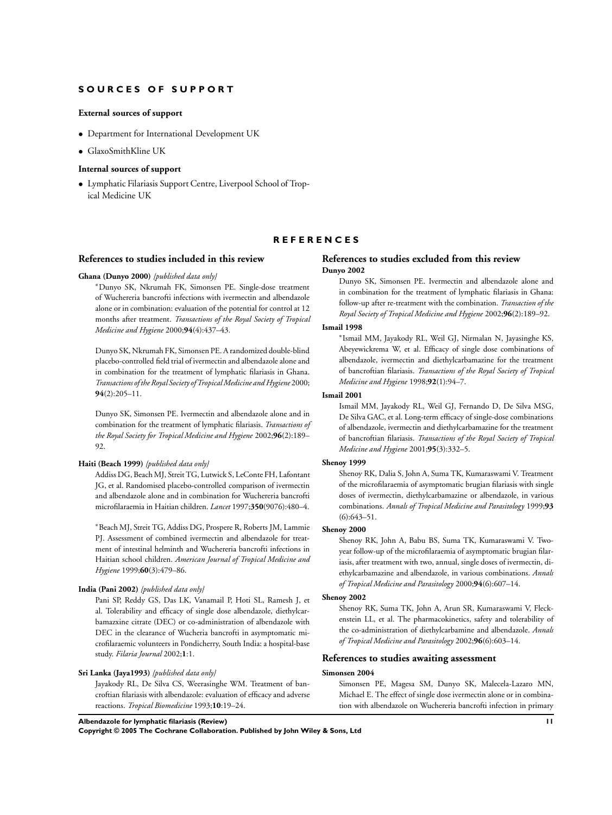#### **S O U R C E S O F S U P P O R T**

#### **External sources of support**

- Department for International Development UK
- GlaxoSmithKline UK

#### **Internal sources of support**

• Lymphatic Filariasis Support Centre, Liverpool School of Tropical Medicine UK

#### **R E F E R E N C E S**

#### **References to studies included in this review**

#### **Ghana (Dunyo 2000)** *{published data only}*

<sup>∗</sup>Dunyo SK, Nkrumah FK, Simonsen PE. Single-dose treatment of Wuchereria bancrofti infections with ivermectin and albendazole alone or in combination: evaluation of the potential for control at 12 months after treatment. *Transactions of the Royal Society of Tropical Medicine and Hygiene* 2000;**94**(4):437–43.

Dunyo SK, Nkrumah FK, Simonsen PE. A randomized double-blind placebo-controlled field trial of ivermectin and albendazole alone and in combination for the treatment of lymphatic filariasis in Ghana. *Transactions of the Royal Society of TropicalMedicine and Hygiene* 2000; **94**(2):205–11.

Dunyo SK, Simonsen PE. Ivermectin and albendazole alone and in combination for the treatment of lymphatic filariasis. *Transactions of the Royal Society for Tropical Medicine and Hygiene* 2002;**96**(2):189– 92.

#### **Haiti (Beach 1999)** *{published data only}*

Addiss DG, Beach MJ, Streit TG, Lutwick S, LeConte FH, Lafontant JG, et al. Randomised placebo-controlled comparison of ivermectin and albendazole alone and in combination for Wuchereria bancrofti microfilaraemia in Haitian children. *Lancet* 1997;**350**(9076):480–4.

<sup>∗</sup>Beach MJ, Streit TG, Addiss DG, Prospere R, Roberts JM, Lammie PJ. Assessment of combined ivermectin and albendazole for treatment of intestinal helminth and Wuchereria bancrofti infections in Haitian school children. *American Journal of Tropical Medicine and Hygiene* 1999;**60**(3):479–86.

#### **India (Pani 2002)** *{published data only}*

Pani SP, Reddy GS, Das LK, Vanamail P, Hoti SL, Ramesh J, et al. Tolerability and efficacy of single dose albendazole, diethylcarbamazxine citrate (DEC) or co-administration of albendazole with DEC in the clearance of Wucheria bancrofti in asymptomatic microfilaraemic volunteers in Pondicherry, South India: a hospital-base study. *Filaria Journal* 2002;**1**:1.

#### **Sri Lanka (Jaya1993)** *{published data only}*

Jayakody RL, De Silva CS, Weerasinghe WM. Treatment of bancroftian filariasis with albendazole: evaluation of efficacy and adverse reactions. *Tropical Biomedicine* 1993;**10**:19–24.

#### **References to studies excluded from this review Dunyo 2002**

Dunyo SK, Simonsen PE. Ivermectin and albendazole alone and in combination for the treatment of lymphatic filariasis in Ghana: follow-up after re-treatment with the combination. *Transaction of the Royal Society of Tropical Medicine and Hygiene* 2002;**96**(2):189–92.

## **Ismail 1998**

∗ Ismail MM, Jayakody RL, Weil GJ, Nirmalan N, Jayasinghe KS, Abeyewickrema W, et al. Efficacy of single dose combinations of albendazole, ivermectin and diethylcarbamazine for the treatment of bancroftian filariasis. *Transactions of the Royal Society of Tropical Medicine and Hygiene* 1998;**92**(1):94–7.

#### **Ismail 2001**

Ismail MM, Jayakody RL, Weil GJ, Fernando D, De Silva MSG, De Silva GAC, et al. Long-term efficacy of single-dose combinations of albendazole, ivermectin and diethylcarbamazine for the treatment of bancroftian filariasis. *Transactions of the Royal Society of Tropical Medicine and Hygiene* 2001;**95**(3):332–5.

#### **Shenoy 1999**

Shenoy RK, Dalia S, John A, Suma TK, Kumaraswami V. Treatment of the microfilaraemia of asymptomatic brugian filariasis with single doses of ivermectin, diethylcarbamazine or albendazole, in various combinations. *Annals of Tropical Medicine and Parasitology* 1999;**93** (6):643–51.

#### **Shenoy 2000**

Shenoy RK, John A, Babu BS, Suma TK, Kumaraswami V. Twoyear follow-up of the microfilaraemia of asymptomatic brugian filariasis, after treatment with two, annual, single doses of ivermectin, diethylcarbamazine and albendazole, in various combinations. *Annals of Tropical Medicine and Parasitology* 2000;**94**(6):607–14.

#### **Shenoy 2002**

Shenoy RK, Suma TK, John A, Arun SR, Kumaraswami V, Fleckenstein LL, et al. The pharmacokinetics, safety and tolerability of the co-administration of diethylcarbamine and albendazole. *Annals of Tropical Medicine and Parasitology* 2002;**96**(6):603–14.

#### **References to studies awaiting assessment**

#### **Simonsen 2004**

Simonsen PE, Magesa SM, Dunyo SK, Malecela-Lazaro MN, Michael E. The effect of single dose ivermectin alone or in combination with albendazole on Wuchereria bancrofti infection in primary

**Albendazole for lymphatic filariasis (Review) 11**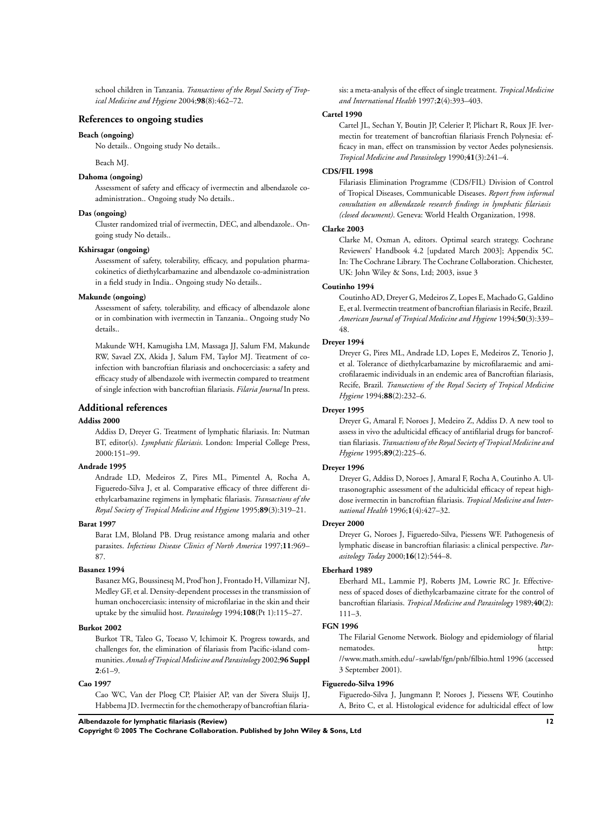school children in Tanzania. *Transactions of the Royal Society of Tropical Medicine and Hygiene* 2004;**98**(8):462–72.

### **References to ongoing studies**

#### **Beach (ongoing)**

No details.. Ongoing study No details..

Beach MJ.

#### **Dahoma (ongoing)**

Assessment of safety and efficacy of ivermectin and albendazole coadministration.. Ongoing study No details..

#### **Das (ongoing)**

Cluster randomized trial of ivermectin, DEC, and albendazole.. Ongoing study No details..

#### **Kshirsagar (ongoing)**

Assessment of safety, tolerability, efficacy, and population pharmacokinetics of diethylcarbamazine and albendazole co-administration in a field study in India.. Ongoing study No details..

#### **Makunde (ongoing)**

Assessment of safety, tolerability, and efficacy of albendazole alone or in combination with ivermectin in Tanzania.. Ongoing study No details..

Makunde WH, Kamugisha LM, Massaga JJ, Salum FM, Makunde RW, Savael ZX, Akida J, Salum FM, Taylor MJ. Treatment of coinfection with bancroftian filariasis and onchocerciasis: a safety and efficacy study of albendazole with ivermectin compared to treatment of single infection with bancroftian filariasis. *Filaria Journal* In press.

#### **Additional references**

#### **Addiss 2000**

Addiss D, Dreyer G. Treatment of lymphatic filariasis. In: Nutman BT, editor(s). *Lymphatic filariasis*. London: Imperial College Press, 2000:151–99.

#### **Andrade 1995**

Andrade LD, Medeiros Z, Pires ML, Pimentel A, Rocha A, Figueredo-Silva J, et al. Comparative efficacy of three different diethylcarbamazine regimens in lymphatic filariasis. *Transactions of the Royal Society of Tropical Medicine and Hygiene* 1995;**89**(3):319–21.

#### **Barat 1997**

Barat LM, Bloland PB. Drug resistance among malaria and other parasites. *Infectious Disease Clinics of North America* 1997;**11**:969– 87.

#### **Basanez 1994**

Basanez MG, Boussinesq M, Prod'hon J, Frontado H, Villamizar NJ, Medley GF, et al. Density-dependent processes in the transmission of human onchocerciasis: intensity of microfilariae in the skin and their uptake by the simuliid host. *Parasitology* 1994;**108**(Pt 1):115–27.

#### **Burkot 2002**

Burkot TR, Taleo G, Toeaso V, Ichimoir K. Progress towards, and challenges for, the elimination of filariasis from Pacific-island communities. *Annals of Tropical Medicine and Parasitology* 2002;**96 Suppl 2**:61–9.

#### **Cao 1997**

Cao WC, Van der Ploeg CP, Plaisier AP, van der Sivera Sluijs IJ, Habbema JD. Ivermectin for the chemotherapy of bancroftian filariasis: a meta-analysis of the effect of single treatment. *Tropical Medicine and International Health* 1997;**2**(4):393–403.

#### **Cartel 1990**

Cartel JL, Sechan Y, Boutin JP, Celerier P, Plichart R, Roux JF. Ivermectin for treatement of bancroftian filariasis French Polynesia: efficacy in man, effect on transmission by vector Aedes polynesiensis. *Tropical Medicine and Parasitology* 1990;**41**(3):241–4.

#### **CDS/FIL 1998**

Filariasis Elimination Programme (CDS/FIL) Division of Control of Tropical Diseases, Communicable Diseases. *Report from informal consultation on albendazole research findings in lymphatic filariasis (closed document)*. Geneva: World Health Organization, 1998.

#### **Clarke 2003**

Clarke M, Oxman A, editors. Optimal search strategy. Cochrane Reviewers' Handbook 4.2 [updated March 2003]; Appendix 5C. In: The Cochrane Library. The Cochrane Collaboration. Chichester, UK: John Wiley & Sons, Ltd; 2003, issue 3

#### **Coutinho 1994**

Coutinho AD, Dreyer G, Medeiros Z, Lopes E, Machado G, Galdino E, et al. Ivermectin treatment of bancroftian filariasis in Recife, Brazil. *American Journal of Tropical Medicine and Hygiene* 1994;**50**(3):339– 48.

#### **Dreyer 1994**

Dreyer G, Pires ML, Andrade LD, Lopes E, Medeiros Z, Tenorio J, et al. Tolerance of diethylcarbamazine by microfilaraemic and amicrofilaraemic individuals in an endemic area of Bancroftian filariasis, Recife, Brazil. *Transactions of the Royal Society of Tropical Medicine Hygiene* 1994;**88**(2):232–6.

# **Dreyer 1995**

Dreyer G, Amaral F, Noroes J, Medeiro Z, Addiss D. A new tool to assess in vivo the adulticidal efficacy of antifilarial drugs for bancroftian filariasis. *Transactions of the Royal Society of Tropical Medicine and Hygiene* 1995;**89**(2):225–6.

#### **Dreyer 1996**

Dreyer G, Addiss D, Noroes J, Amaral F, Rocha A, Coutinho A. Ultrasonographic assessment of the adulticidal efficacy of repeat highdose ivermectin in bancroftian filariasis. *Tropical Medicine and International Health* 1996;**1**(4):427–32.

## **Dreyer 2000**

Dreyer G, Noroes J, Figueredo-Silva, Piessens WF. Pathogenesis of lymphatic disease in bancroftian filariasis: a clinical perspective. *Parasitology Today* 2000;**16**(12):544–8.

#### **Eberhard 1989**

Eberhard ML, Lammie PJ, Roberts JM, Lowrie RC Jr. Effectiveness of spaced doses of diethylcarbamazine citrate for the control of bancroftian filariasis. *Tropical Medicine and Parasitology* 1989;**40**(2): 111–3.

#### **FGN 1996**

The Filarial Genome Network. Biology and epidemiology of filarial nematodes. http://www.industrial.com/ //www.math.smith.edu/~sawlab/fgn/pnb/filbio.html 1996 (accessed 3 September 2001).

#### **Figueredo-Silva 1996**

Figueredo-Silva J, Jungmann P, Noroes J, Piessens WF, Coutinho A, Brito C, et al. Histological evidence for adulticidal effect of low

## **Albendazole for lymphatic filariasis (Review) 12**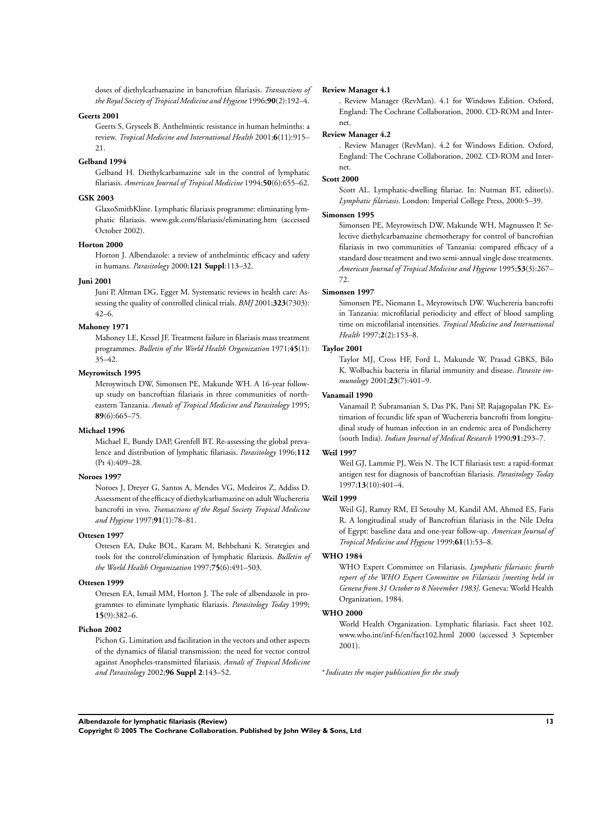doses of diethylcarbamazine in bancroftian filariasis. *Transactions of the Royal Society of Tropical Medicine and Hygiene* 1996;**90**(2):192–4.

#### **Geerts 2001**

Geerts S, Gryseels B. Anthelmintic resistance in human helminths: a review. *Tropical Medicine and International Health* 2001;**6**(11):915– 21.

#### **Gelband 1994**

Gelband H. Diethylcarbamazine salt in the control of lymphatic filariasis. *American Journal of Tropical Medicine* 1994;**50**(6):655–62.

#### **GSK 2003**

GlaxoSmithKline. Lymphatic filariasis programme: eliminating lymphatic filariasis. www.gsk.com/filariasis/eliminating.htm (accessed October 2002).

#### **Horton 2000**

Horton J. Albendazole: a review of anthelmintic efficacy and safety in humans. *Parasitology* 2000;**121 Suppl**:113–32.

#### **Juni 2001**

Juni P, Altman DG, Egger M. Systematic reviews in health care: Assessing the quality of controlled clinical trials. *BMJ* 2001;**323**(7303): 42–6.

#### **Mahoney 1971**

Mahoney LE, Kessel JF. Treatment failure in filariasis mass treatment programmes. *Bulletin of the World Health Organization* 1971;**45**(1): 35–42.

#### **Meyrowitsch 1995**

Meroywitsch DW, Simonsen PE, Makunde WH. A 16-year followup study on bancroftian filariasis in three communities of northeastern Tanzania. *Annals of Tropical Medicine and Parasitology* 1995; **89**(6):665–75.

#### **Michael 1996**

Michael E, Bundy DAP, Grenfell BT. Re-assessing the global prevalence and distribution of lymphatic filariasis. *Parasitology* 1996;**112** (Pt 4):409–28.

#### **Noroes 1997**

Noroes J, Dreyer G, Santos A, Mendes VG, Medeiros Z, Addiss D. Assessment of the efficacy of diethylcarbamazine on adult Wuchereria bancrofti in vivo. *Transactions of the Royal Society Tropical Medicine and Hygiene* 1997;**91**(1):78–81.

#### **Ottesen 1997**

Ottesen EA, Duke BOL, Karam M, Behbehani K. Strategies and tools for the control/elimination of lymphatic filariasis. *Bulletin of the World Health Organization* 1997;**75**(6):491–503.

#### **Ottesen 1999**

Ottesen EA, Ismail MM, Horton J. The role of albendazole in programmes to eliminate lymphatic filariasis. *Parasitology Today* 1999; **15**(9):382–6.

#### **Pichon 2002**

Pichon G. Limitation and facilitation in the vectors and other aspects of the dynamics of filarial transmission: the need for vector control against Anopheles-transmitted filariasis. *Annals of Tropical Medicine and Parasitology* 2002;**96 Suppl 2**:143–52.

#### **Review Manager 4.1**

. Review Manager (RevMan). 4.1 for Windows Edition. Oxford, England: The Cochrane Collaboration, 2000. CD-ROM and Internet.

#### **Review Manager 4.2**

. Review Manager (RevMan). 4.2 for Windows Edition. Oxford, England: The Cochrane Collaboration, 2002. CD-ROM and Internet.

#### **Scott 2000**

Scott AL. Lymphatic-dwelling filariae. In: Nutman BT, editor(s). *Lymphatic filariasis*. London: Imperial College Press, 2000:5–39.

#### **Simonsen 1995**

Simonsen PE, Meyrowitsch DW, Makunde WH, Magnussen P. Selective diethylcarbamazine chemotherapy for control of bancroftian filariasis in two communities of Tanzania: compared efficacy of a standard dose treatment and two semi-annual single dose treatments. *American Journal of Tropical Medicine and Hygiene* 1995;**53**(3):267– 72.

#### **Simonsen 1997**

Simonsen PE, Niemann L, Meyrowitsch DW. Wuchereria bancrofti in Tanzania: microfilarial periodicity and effect of blood sampling time on microfilarial intensities. *Tropical Medicine and International Health* 1997;**2**(2):153–8.

# **Taylor 2001**

Taylor MJ, Cross HF, Ford L, Makunde W, Prasad GBKS, Bilo K. Wolbachia bacteria in filarial immunity and disease. *Parasite immunology* 2001;**23**(7):401–9.

#### **Vanamail 1990**

Vanamail P, Subramanian S, Das PK, Pani SP, Rajagopalan PK. Estimation of fecundic life span of Wuchereria bancrofti from longitudinal study of human infection in an endemic area of Pondicherry (south India). *Indian Journal of Medical Research* 1990;**91**:293–7.

#### **Weil 1997**

Weil GJ, Lammie PJ, Weis N. The ICT filariasis test: a rapid-format antigen test for diagnosis of bancroftian filariasis. *Parasitology Today* 1997;**13**(10):401–4.

#### **Weil 1999**

Weil GJ, Ramzy RM, El Setouhy M, Kandil AM, Ahmed ES, Faris R. A longitudinal study of Bancroftian filariasis in the Nile Delta of Egypt: baseline data and one-year follow-up. *American Journal of Tropical Medicine and Hygiene* 1999;**61**(1):53–8.

#### **WHO 1984**

WHO Expert Committee on Filariasis. *Lymphatic filariasis: fourth report of the WHO Expert Committee on Filariasis [meeting held in Geneva from 31 October to 8 November 1983]*. Geneva: World Health Organization, 1984.

#### **WHO 2000**

World Health Organization. Lymphatic filariasis. Fact sheet 102. www.who.int/inf-fs/en/fact102.html 2000 (accessed 3 September 2001).

∗ *Indicates the major publication for the study*

**Albendazole for lymphatic filariasis (Review) 13**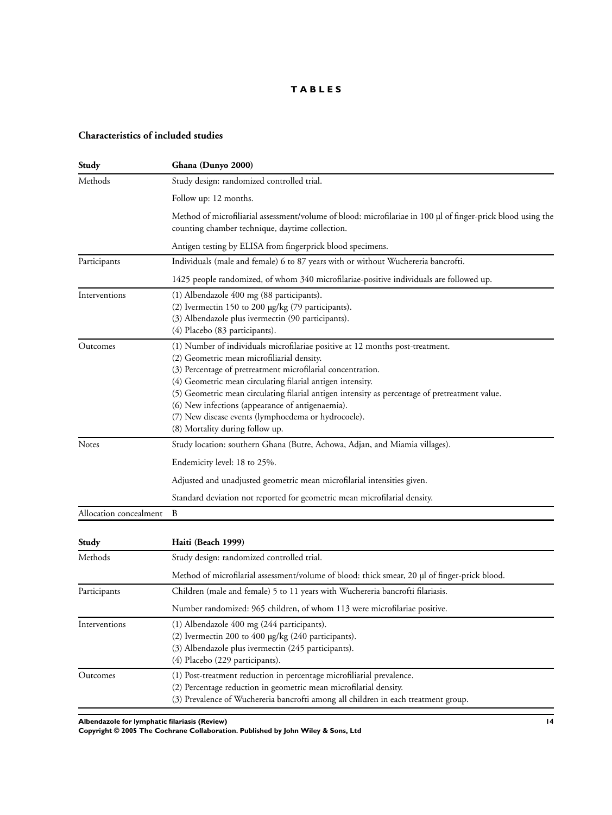# **T A B L E S**

# **Characteristics of included studies**

| Study                  | Ghana (Dunyo 2000)                                                                                                                                                                                                                                                                                                                                                                                                                                                                                       |  |  |  |  |  |
|------------------------|----------------------------------------------------------------------------------------------------------------------------------------------------------------------------------------------------------------------------------------------------------------------------------------------------------------------------------------------------------------------------------------------------------------------------------------------------------------------------------------------------------|--|--|--|--|--|
| Methods                | Study design: randomized controlled trial.                                                                                                                                                                                                                                                                                                                                                                                                                                                               |  |  |  |  |  |
|                        | Follow up: 12 months.                                                                                                                                                                                                                                                                                                                                                                                                                                                                                    |  |  |  |  |  |
|                        | Method of microfiliarial assessment/volume of blood: microfilariae in 100 µl of finger-prick blood using the<br>counting chamber technique, daytime collection.                                                                                                                                                                                                                                                                                                                                          |  |  |  |  |  |
|                        | Antigen testing by ELISA from fingerprick blood specimens.                                                                                                                                                                                                                                                                                                                                                                                                                                               |  |  |  |  |  |
| Participants           | Individuals (male and female) 6 to 87 years with or without Wuchereria bancrofti.                                                                                                                                                                                                                                                                                                                                                                                                                        |  |  |  |  |  |
|                        | 1425 people randomized, of whom 340 microfilariae-positive individuals are followed up.                                                                                                                                                                                                                                                                                                                                                                                                                  |  |  |  |  |  |
| Interventions          | (1) Albendazole 400 mg (88 participants).<br>(2) Ivermectin 150 to 200 µg/kg (79 participants).<br>(3) Albendazole plus ivermectin (90 participants).<br>(4) Placebo (83 participants).                                                                                                                                                                                                                                                                                                                  |  |  |  |  |  |
| Outcomes               | (1) Number of individuals microfilariae positive at 12 months post-treatment.<br>(2) Geometric mean microfiliarial density.<br>(3) Percentage of pretreatment microfilarial concentration.<br>(4) Geometric mean circulating filarial antigen intensity.<br>(5) Geometric mean circulating filarial antigen intensity as percentage of pretreatment value.<br>(6) New infections (appearance of antigenaemia).<br>(7) New disease events (lymphoedema or hydrocoele).<br>(8) Mortality during follow up. |  |  |  |  |  |
| Notes                  | Study location: southern Ghana (Butre, Achowa, Adjan, and Miamia villages).                                                                                                                                                                                                                                                                                                                                                                                                                              |  |  |  |  |  |
|                        | Endemicity level: 18 to 25%.                                                                                                                                                                                                                                                                                                                                                                                                                                                                             |  |  |  |  |  |
|                        | Adjusted and unadjusted geometric mean microfilarial intensities given.                                                                                                                                                                                                                                                                                                                                                                                                                                  |  |  |  |  |  |
|                        | Standard deviation not reported for geometric mean microfilarial density.                                                                                                                                                                                                                                                                                                                                                                                                                                |  |  |  |  |  |
| Allocation concealment | B                                                                                                                                                                                                                                                                                                                                                                                                                                                                                                        |  |  |  |  |  |
| Study                  | Haiti (Beach 1999)                                                                                                                                                                                                                                                                                                                                                                                                                                                                                       |  |  |  |  |  |
| Methods                | Study design: randomized controlled trial.                                                                                                                                                                                                                                                                                                                                                                                                                                                               |  |  |  |  |  |
|                        | Method of microfilarial assessment/volume of blood: thick smear, 20 µl of finger-prick blood.                                                                                                                                                                                                                                                                                                                                                                                                            |  |  |  |  |  |
| Participants           | Children (male and female) 5 to 11 years with Wuchereria bancrofti filariasis.                                                                                                                                                                                                                                                                                                                                                                                                                           |  |  |  |  |  |
|                        | Number randomized: 965 children, of whom 113 were microfilariae positive.                                                                                                                                                                                                                                                                                                                                                                                                                                |  |  |  |  |  |
| Interventions          | (1) Albendazole 400 mg (244 participants).<br>(2) Ivermectin 200 to 400 µg/kg (240 participants).<br>(3) Albendazole plus ivermectin (245 participants).<br>(4) Placebo (229 participants).                                                                                                                                                                                                                                                                                                              |  |  |  |  |  |
| Outcomes               | (1) Post-treatment reduction in percentage microfiliarial prevalence.<br>(2) Percentage reduction in geometric mean microfilarial density.<br>(3) Prevalence of Wuchereria bancrofti among all children in each treatment group.                                                                                                                                                                                                                                                                         |  |  |  |  |  |

**Albendazole for lymphatic filariasis (Review) 14**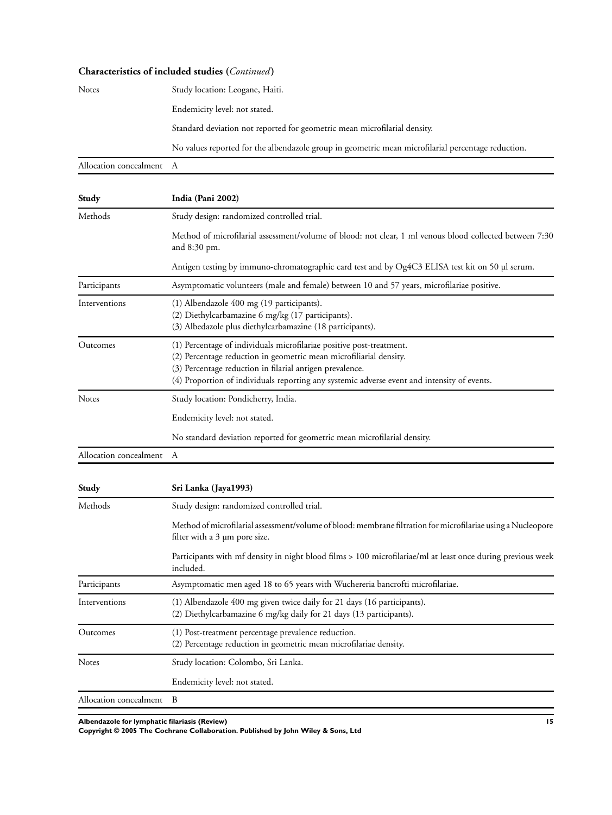#### **Characteristics of included studies (***Continued* **)**

| <b>Notes</b>             | Study location: Leogane, Haiti.                                                                    |
|--------------------------|----------------------------------------------------------------------------------------------------|
|                          | Endemicity level: not stated.                                                                      |
|                          | Standard deviation not reported for geometric mean microfilarial density.                          |
|                          | No values reported for the albendazole group in geometric mean microfilarial percentage reduction. |
| Allocation concealment A |                                                                                                    |

**Study India (Pani 2002)** Methods Study design: randomized controlled trial. Method of microfilarial assessment/volume of blood: not clear, 1 ml venous blood collected between 7:30 and 8:30 pm. Antigen testing by immuno-chromatographic card test and by Og4C3 ELISA test kit on 50 µl serum. Participants Asymptomatic volunteers (male and female) between 10 and 57 years, microfilariae positive. Interventions (1) Albendazole 400 mg (19 participants). (2) Diethylcarbamazine 6 mg/kg (17 participants). (3) Albedazole plus diethylcarbamazine (18 participants). Outcomes (1) Percentage of individuals microfilariae positive post-treatment. (2) Percentage reduction in geometric mean microfiliarial density. (3) Percentage reduction in filarial antigen prevalence. (4) Proportion of individuals reporting any systemic adverse event and intensity of events. Notes Study location: Pondicherry, India. Endemicity level: not stated. No standard deviation reported for geometric mean microfilarial density. Allocation concealment A

| Study                  | Sri Lanka (Jaya1993)                                                                                                                               |
|------------------------|----------------------------------------------------------------------------------------------------------------------------------------------------|
| Methods                | Study design: randomized controlled trial.                                                                                                         |
|                        | Method of microfilarial assessment/volume of blood: membrane filtration for microfilariae using a Nucleopore<br>filter with a $3 \mu m$ pore size. |
|                        | Participants with mf density in night blood films > 100 microfilariae/ml at least once during previous week<br>included.                           |
| Participants           | Asymptomatic men aged 18 to 65 years with Wuchereria bancrofti microfilariae.                                                                      |
| Interventions          | (1) Albendazole 400 mg given twice daily for 21 days (16 participants).<br>(2) Diethylcarbamazine 6 mg/kg daily for 21 days (13 participants).     |
| Outcomes               | (1) Post-treatment percentage prevalence reduction.<br>(2) Percentage reduction in geometric mean microfilariae density.                           |
| <b>Notes</b>           | Study location: Colombo, Sri Lanka.                                                                                                                |
|                        | Endemicity level: not stated.                                                                                                                      |
| Allocation concealment | B                                                                                                                                                  |

**Albendazole for lymphatic filariasis (Review) 15**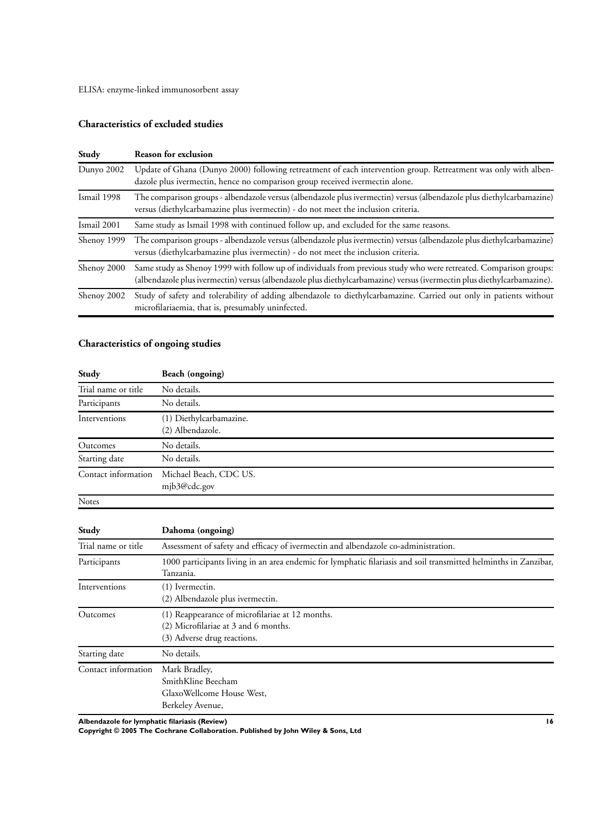ELISA: enzyme-linked immunosorbent assay

# **Characteristics of excluded studies**

| Study       | <b>Reason for exclusion</b>                                                                                                                                                                                                                   |
|-------------|-----------------------------------------------------------------------------------------------------------------------------------------------------------------------------------------------------------------------------------------------|
| Dunyo 2002  | Update of Ghana (Dunyo 2000) following retreatment of each intervention group. Retreatment was only with alben-<br>dazole plus ivermectin, hence no comparison group received ivermectin alone.                                               |
| Ismail 1998 | The comparison groups - albendazole versus (albendazole plus ivermectin) versus (albendazole plus diethylcarbamazine)<br>versus (diethylcarbamazine plus ivermectin) - do not meet the inclusion criteria.                                    |
| Ismail 2001 | Same study as Ismail 1998 with continued follow up, and excluded for the same reasons.                                                                                                                                                        |
| Shenoy 1999 | The comparison groups - albendazole versus (albendazole plus ivermectin) versus (albendazole plus diethylcarbamazine)<br>versus (diethylcarbamazine plus ivermectin) - do not meet the inclusion criteria.                                    |
| Shenoy 2000 | Same study as Shenoy 1999 with follow up of individuals from previous study who were retreated. Comparison groups:<br>(albendazole plus ivermectin) versus (albendazole plus diethylcarbamazine) versus (ivermectin plus diethylcarbamazine). |
| Shenoy 2002 | Study of safety and tolerability of adding albendazole to diethylcarbamazine. Carried out only in patients without<br>microfilariaemia, that is, presumably uninfected.                                                                       |

# **Characteristics of ongoing studies**

| Study               | Beach (ongoing)                             |
|---------------------|---------------------------------------------|
| Trial name or title | No details.                                 |
| Participants        | No details.                                 |
| Interventions       | (1) Diethylcarbamazine.<br>(2) Albendazole. |
| Outcomes            | No details.                                 |
| Starting date       | No details.                                 |
| Contact information | Michael Beach, CDC US.<br>mjb3@cdc.gov      |
| <b>Notes</b>        |                                             |

| Study               | Dahoma (ongoing)                                                                                                              |  |  |  |  |  |
|---------------------|-------------------------------------------------------------------------------------------------------------------------------|--|--|--|--|--|
| Trial name or title | Assessment of safety and efficacy of ivermectin and albendazole co-administration.                                            |  |  |  |  |  |
| Participants        | 1000 participants living in an area endemic for lymphatic filariasis and soil transmitted helminths in Zanzibar,<br>Tanzania. |  |  |  |  |  |
| Interventions       | (1) Ivermectin.<br>(2) Albendazole plus ivermectin.                                                                           |  |  |  |  |  |
| Outcomes            | (1) Reappearance of microfilariae at 12 months.<br>(2) Microfilariae at 3 and 6 months.<br>(3) Adverse drug reactions.        |  |  |  |  |  |
| Starting date       | No details.                                                                                                                   |  |  |  |  |  |
| Contact information | Mark Bradley,<br>SmithKline Beecham<br>GlaxoWellcome House West,<br>Berkeley Avenue,                                          |  |  |  |  |  |

**Albendazole for lymphatic filariasis (Review) 16**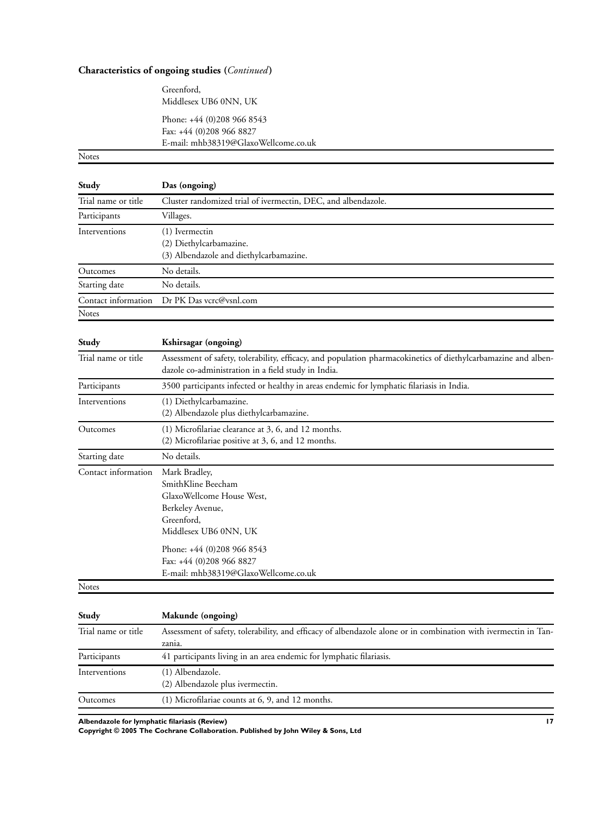# **Characteristics of ongoing studies (***Continued* **)**

Greenford, Middlesex UB6 0NN, UK

Phone: +44 (0)208 966 8543 Fax: +44 (0)208 966 8827 E-mail: mhb38319@GlaxoWellcome.co.uk

Notes

| Study               | Das (ongoing)                                                                                                                                                         |
|---------------------|-----------------------------------------------------------------------------------------------------------------------------------------------------------------------|
| Trial name or title | Cluster randomized trial of ivermectin, DEC, and albendazole.                                                                                                         |
| Participants        | Villages.                                                                                                                                                             |
| Interventions       | (1) Ivermectin<br>(2) Diethylcarbamazine.<br>(3) Albendazole and diethylcarbamazine.                                                                                  |
| Outcomes            | No details.                                                                                                                                                           |
| Starting date       | No details.                                                                                                                                                           |
| Contact information | Dr PK Das vcrc@vsnl.com                                                                                                                                               |
| Notes               |                                                                                                                                                                       |
| Study               | Kshirsagar (ongoing)                                                                                                                                                  |
| Trial name or title | Assessment of safety, tolerability, efficacy, and population pharmacokinetics of diethylcarbamazine and alben-<br>dazole co-administration in a field study in India. |
| Participants        | 3500 participants infected or healthy in areas endemic for lymphatic filariasis in India.                                                                             |
| Interventions       | (1) Diethylcarbamazine.<br>(2) Albendazole plus diethylcarbamazine.                                                                                                   |
| Outcomes            | (1) Microfilariae clearance at 3, 6, and 12 months.<br>(2) Microfilariae positive at 3, 6, and 12 months.                                                             |
| Starting date       | No details.                                                                                                                                                           |
| Contact information | Mark Bradley,<br>SmithKline Beecham<br>GlaxoWellcome House West,<br>Berkeley Avenue,<br>Greenford,<br>Middlesex UB6 0NN, UK                                           |
|                     | Phone: +44 (0)208 966 8543<br>Fax: +44 (0)208 966 8827<br>E-mail: mhb38319@GlaxoWellcome.co.uk                                                                        |
| Notes               |                                                                                                                                                                       |
| Study               | Makunde (ongoing)                                                                                                                                                     |

| otuay               | Makunde (ongoing)                                                                                                         |
|---------------------|---------------------------------------------------------------------------------------------------------------------------|
| Trial name or title | Assessment of safety, tolerability, and efficacy of albendazole alone or in combination with ivermectin in Tan-<br>zania. |
| Participants        | 41 participants living in an area endemic for lymphatic filariasis.                                                       |
| Interventions       | (1) Albendazole.<br>(2) Albendazole plus ivermectin.                                                                      |
| Outcomes            | $(1)$ Microfilariae counts at 6, 9, and 12 months.                                                                        |

**Albendazole for lymphatic filariasis (Review) 17**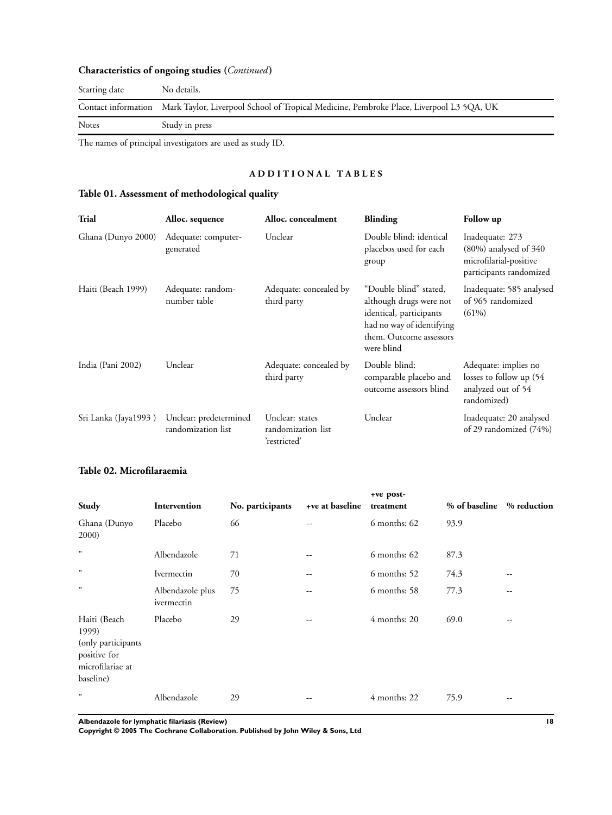# **Characteristics of ongoing studies (***Continued* **)**

| Starting date | No details.                                                                                                  |
|---------------|--------------------------------------------------------------------------------------------------------------|
|               | Contact information Mark Taylor, Liverpool School of Tropical Medicine, Pembroke Place, Liverpool L3 5QA, UK |
| Notes         | Study in press                                                                                               |

The names of principal investigators are used as study ID.

# **A D D I T I O N A L T A B L E S**

# **Table 01. Assessment of methodological quality**

| Trial                | Alloc. sequence                              | Alloc. concealment                                    | <b>Blinding</b>                                                                                                                                    | Follow up                                                                                          |
|----------------------|----------------------------------------------|-------------------------------------------------------|----------------------------------------------------------------------------------------------------------------------------------------------------|----------------------------------------------------------------------------------------------------|
| Ghana (Dunyo 2000)   | Adequate: computer-<br>generated             | Unclear                                               | Double blind: identical<br>placebos used for each<br>group                                                                                         | Inadequate: 273<br>$(80\%)$ analysed of $340$<br>microfilarial-positive<br>participants randomized |
| Haiti (Beach 1999)   | Adequate: random-<br>number table            | Adequate: concealed by<br>third party                 | "Double blind" stated,<br>although drugs were not<br>identical, participants<br>had no way of identifying<br>them. Outcome assessors<br>were blind | Inadequate: 585 analysed<br>of 965 randomized<br>$(61\%)$                                          |
| India (Pani 2002)    | Unclear                                      | Adequate: concealed by<br>third party                 | Double blind:<br>comparable placebo and<br>outcome assessors blind                                                                                 | Adequate: implies no<br>losses to follow up (54)<br>analyzed out of 54<br>randomized)              |
| Sri Lanka (Jaya1993) | Unclear: predetermined<br>randomization list | Unclear: states<br>randomization list<br>'restricted' | Unclear                                                                                                                                            | Inadequate: 20 analysed<br>of 29 randomized (74%)                                                  |

# **Table 02. Microfilaraemia**

| Study                                                                                        | Intervention                   | No. participants | +ve at baseline | +ve post-<br>treatment | % of baseline % reduction |    |
|----------------------------------------------------------------------------------------------|--------------------------------|------------------|-----------------|------------------------|---------------------------|----|
| Ghana (Dunyo<br>2000)                                                                        | Placebo                        | 66               | --              | 6 months: 62           | 93.9                      |    |
| ,                                                                                            | Albendazole                    | 71               | --              | $6$ months: $62$       | 87.3                      |    |
| , 22                                                                                         | Ivermectin                     | 70               | --              | 6 months: 52           | 74.3                      | -- |
| , 2                                                                                          | Albendazole plus<br>ivermectin | 75               | --              | 6 months: 58           | 77.3                      | -- |
| Haiti (Beach<br>1999)<br>(only participants<br>positive for<br>microfilariae at<br>baseline) | Placebo                        | 29               | --              | 4 months: 20           | 69.0                      | -- |
| ,                                                                                            | Albendazole                    | 29               | --              | 4 months: 22           | 75.9                      | -- |

**Albendazole for lymphatic filariasis (Review) 18**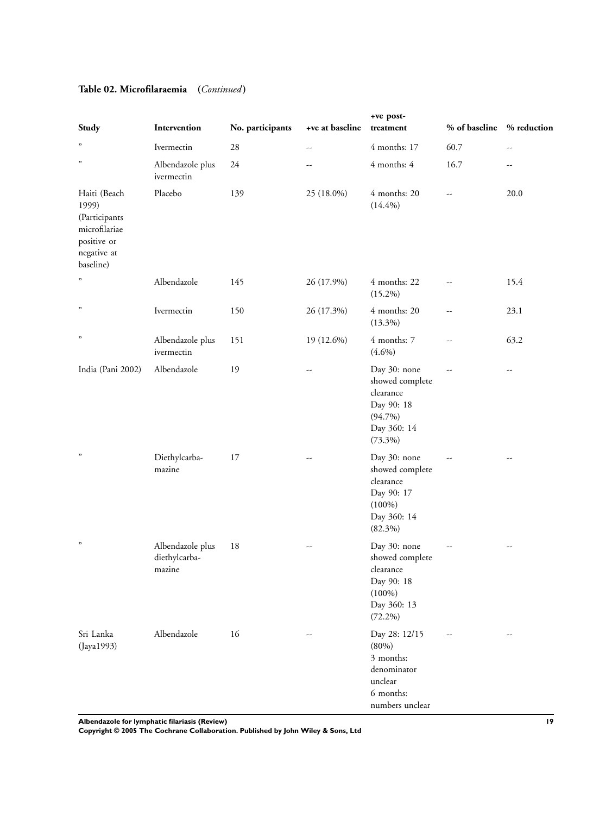| Study                                                                                              | Intervention                                | No. participants | +ve at baseline          | +ve post-<br>treatment                                                                                | % of baseline | % reduction |
|----------------------------------------------------------------------------------------------------|---------------------------------------------|------------------|--------------------------|-------------------------------------------------------------------------------------------------------|---------------|-------------|
| $\boldsymbol{\mathcal{D}}$                                                                         | Ivermectin                                  | 28               | $\overline{\phantom{a}}$ | 4 months: 17                                                                                          | 60.7          | --          |
| $\boldsymbol{\mathcal{D}}$                                                                         | Albendazole plus<br>ivermectin              | 24               |                          | 4 months: 4                                                                                           | 16.7          |             |
| Haiti (Beach<br>1999)<br>(Participants<br>microfilariae<br>positive or<br>negative at<br>baseline) | Placebo                                     | 139              | 25 (18.0%)               | 4 months: 20<br>(14.4%)                                                                               | --            | 20.0        |
| ,                                                                                                  | Albendazole                                 | 145              | 26 (17.9%)               | 4 months: 22<br>$(15.2\%)$                                                                            | --            | 15.4        |
| $\boldsymbol{\mathcal{D}}$                                                                         | Ivermectin                                  | 150              | 26 (17.3%)               | 4 months: 20<br>$(13.3\%)$                                                                            | --            | 23.1        |
| $\boldsymbol{\mathcal{D}}$                                                                         | Albendazole plus<br>ivermectin              | 151              | 19 (12.6%)               | 4 months: 7<br>$(4.6\%)$                                                                              | --            | 63.2        |
| India (Pani 2002)                                                                                  | Albendazole                                 | 19               | --                       | Day 30: none<br>showed complete<br>clearance<br>Day 90: 18<br>$(94.7\%)$<br>Day 360: 14<br>$(73.3\%)$ |               | --          |
| $\boldsymbol{\mathcal{D}}$                                                                         | Diethylcarba-<br>mazine                     | 17               |                          | Day 30: none<br>showed complete<br>clearance<br>Day 90: 17<br>$(100\%)$<br>Day 360: 14<br>$(82.3\%)$  |               | --          |
| $, ,$                                                                                              | Albendazole plus<br>diethylcarba-<br>mazine | 18               | --                       | Day 30: none<br>showed complete<br>clearance<br>Day 90: 18<br>$(100\%)$<br>Day 360: 13<br>$(72.2\%)$  |               | --          |
| Sri Lanka<br>(Jaya1993)                                                                            | Albendazole                                 | 16               | $\overline{a}$           | Day 28: 12/15<br>(80%)<br>3 months:<br>denominator<br>unclear<br>6 months:<br>numbers unclear         | --            |             |

# **Table 02. Microfilaraemia (***Continued* **)**

**Albendazole for lymphatic filariasis (Review) 19**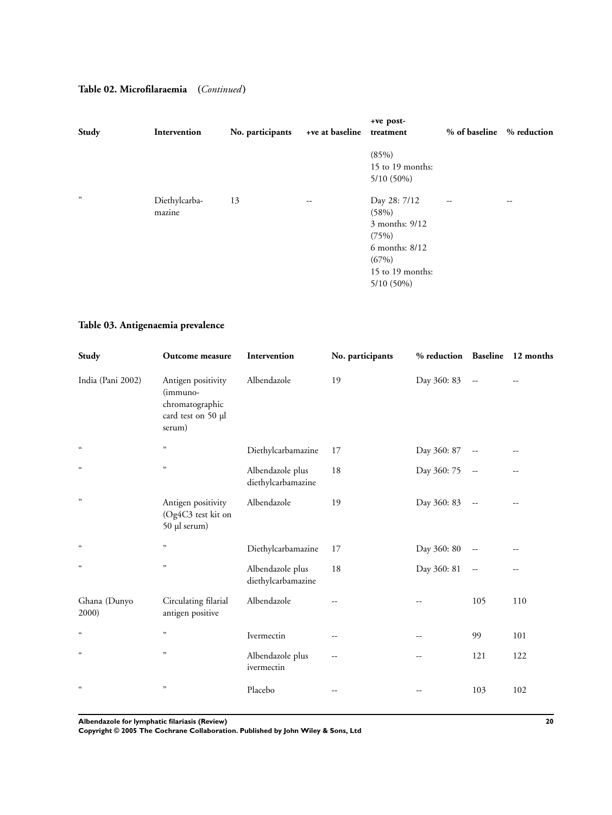# **Table 02. Microfilaraemia (***Continued* **)**

| Study | Intervention            | No. participants | +ve at baseline          | +ve post-<br>treatment                                                                                          | % of baseline            | % reduction |
|-------|-------------------------|------------------|--------------------------|-----------------------------------------------------------------------------------------------------------------|--------------------------|-------------|
|       |                         |                  |                          | (85%)<br>15 to 19 months:<br>5/10 (50%)                                                                         |                          |             |
| ,     | Diethylcarba-<br>mazine | 13               | $\overline{\phantom{m}}$ | Day 28: 7/12<br>(58%)<br>3 months: 9/12<br>(75%)<br>6 months: 8/12<br>(67%)<br>15 to 19 months:<br>$5/10(50\%)$ | $\overline{\phantom{a}}$ | --          |

# **Table 03. Antigenaemia prevalence**

| Study                      | Outcome measure                                                                   | Intervention                           | No. participants | % reduction Baseline 12 months |                          |     |
|----------------------------|-----------------------------------------------------------------------------------|----------------------------------------|------------------|--------------------------------|--------------------------|-----|
| India (Pani 2002)          | Antigen positivity<br>(immuno-<br>chromatographic<br>card test on 50 µl<br>serum) | Albendazole                            | 19               | Day 360: 83                    | $\overline{\phantom{a}}$ |     |
| $\mathfrak{c}\mathfrak{c}$ | "                                                                                 | Diethylcarbamazine                     | 17               | Day 360: 87                    |                          |     |
| $\epsilon\epsilon$         | "                                                                                 | Albendazole plus<br>diethylcarbamazine | 18               | Day 360: 75                    | $\overline{\phantom{a}}$ | --  |
| , 2                        | Antigen positivity<br>(Og4C3 test kit on<br>50 µl serum)                          | Albendazole                            | 19               | Day 360: 83                    | $\overline{\phantom{m}}$ | --  |
| $\mathfrak{c}\mathfrak{c}$ | "                                                                                 | Diethylcarbamazine                     | 17               | Day 360: 80                    | --                       |     |
| $\mathfrak{c}\mathfrak{c}$ | "                                                                                 | Albendazole plus<br>diethylcarbamazine | 18               | Day 360: 81                    | $\overline{\phantom{a}}$ | --  |
| Ghana (Dunyo<br>2000)      | Circulating filarial<br>antigen positive                                          | Albendazole                            | --               |                                | 105                      | 110 |
| $\mathfrak{c}\mathfrak{c}$ | $\mathfrak{p}$                                                                    | Ivermectin                             | --               | --                             | 99                       | 101 |
| $\mathfrak{c}\mathfrak{c}$ | $\mathfrak{p}$                                                                    | Albendazole plus<br>ivermectin         | --               |                                | 121                      | 122 |
| $\epsilon\epsilon$         | $\boldsymbol{\mathfrak{y}}$                                                       | Placebo                                | --               |                                | 103                      | 102 |

**Albendazole for lymphatic filariasis (Review) 20**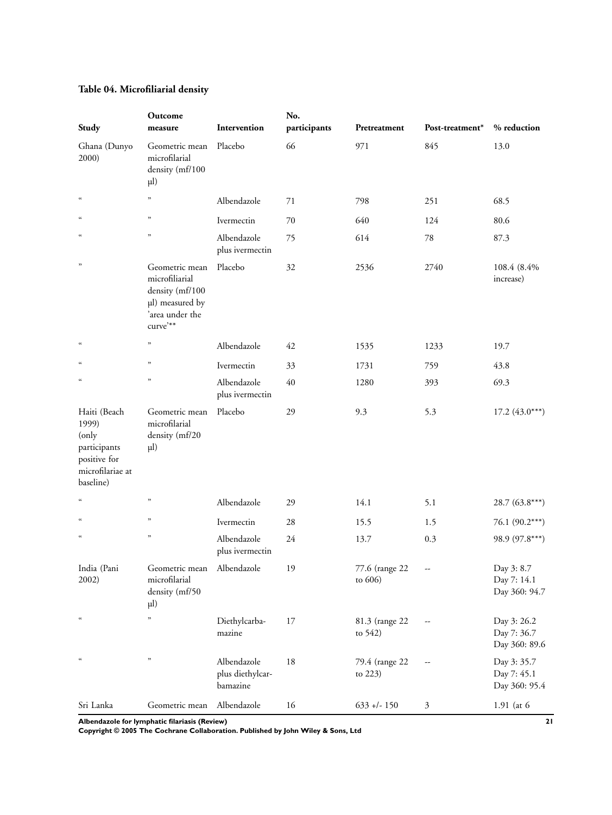|  | Table 04. Microfiliarial density |  |
|--|----------------------------------|--|
|--|----------------------------------|--|

|                                                                                                 | Outcome                                                                                               |                                             | No.          |                              |                   |                                             |
|-------------------------------------------------------------------------------------------------|-------------------------------------------------------------------------------------------------------|---------------------------------------------|--------------|------------------------------|-------------------|---------------------------------------------|
| Study                                                                                           | measure                                                                                               | Intervention                                | participants | Pretreatment                 | Post-treatment*   | % reduction                                 |
| Ghana (Dunyo<br>2000)                                                                           | Geometric mean<br>microfilarial<br>density (mf/100<br>$\mu$ l)                                        | Placebo                                     | 66           | 971                          | 845               | 13.0                                        |
| $\mathfrak{c}\mathfrak{c}$                                                                      | ,                                                                                                     | Albendazole                                 | 71           | 798                          | 251               | 68.5                                        |
| $\mathfrak{c}\mathfrak{c}$                                                                      | $,$                                                                                                   | Ivermectin                                  | 70           | 640                          | 124               | 80.6                                        |
| $\mathfrak{c}\mathfrak{c}$                                                                      | ,                                                                                                     | Albendazole<br>plus ivermectin              | 75           | 614                          | 78                | 87.3                                        |
| ,,                                                                                              | Geometric mean<br>microfiliarial<br>density (mf/100<br>µl) measured by<br>'area under the<br>curve'** | Placebo                                     | 32           | 2536                         | 2740              | 108.4 (8.4%)<br>increase)                   |
| $\mathfrak{c}\mathfrak{c}$                                                                      | $\mathfrak{p}$                                                                                        | Albendazole                                 | 42           | 1535                         | 1233              | 19.7                                        |
| $\alpha$                                                                                        | $\mathfrak{z}$                                                                                        | Ivermectin                                  | 33           | 1731                         | 759               | 43.8                                        |
| $\alpha$                                                                                        | $\mathfrak{z}$                                                                                        | Albendazole<br>plus ivermectin              | 40           | 1280                         | 393               | 69.3                                        |
| Haiti (Beach<br>1999)<br>(only<br>participants<br>positive for<br>microfilariae at<br>baseline) | Geometric mean<br>microfilarial<br>density (mf/20<br>$\mu$ l)                                         | Placebo                                     | 29           | 9.3                          | 5.3               | $17.2(43.0***)$                             |
| $\mathfrak{c}\mathfrak{c}$                                                                      | $,$                                                                                                   | Albendazole                                 | 29           | 14.1                         | 5.1               | $28.7(63.8***)$                             |
| $\mathfrak{c}\mathfrak{c}$                                                                      | ,                                                                                                     | Ivermectin                                  | 28           | 15.5                         | 1.5               | $76.1 (90.2***)$                            |
| $\mathfrak{c}\mathfrak{c}$                                                                      | $,$                                                                                                   | Albendazole<br>plus ivermectin              | 24           | 13.7                         | 0.3               | 98.9 (97.8***)                              |
| India (Pani<br>2002)                                                                            | Geometric mean<br>microfilarial<br>density (mf/50<br>$\mu$ l)                                         | Albendazole                                 | 19           | 77.6 (range 22<br>to 606)    | --                | Day 3: 8.7<br>Day 7: 14.1<br>Day 360: 94.7  |
| $\mathfrak{c}\mathfrak{c}$                                                                      | $, \,$                                                                                                | Diethylcarba-<br>mazine                     | 17           | 81.3 (range 22<br>to $542$   | $\qquad \qquad -$ | Day 3: 26.2<br>Day 7: 36.7<br>Day 360: 89.6 |
| $\mathfrak{c}\mathfrak{c}$                                                                      | $\mathfrak{p}$                                                                                        | Albendazole<br>plus diethylcar-<br>bamazine | 18           | 79.4 (range 22<br>to $223$ ) | --                | Day 3: 35.7<br>Day 7: 45.1<br>Day 360: 95.4 |
| Sri Lanka                                                                                       | Geometric mean                                                                                        | Albendazole                                 | 16           | $633 + 1 - 150$              | $\mathfrak{Z}$    | 1.91 (at 6                                  |

**Albendazole for lymphatic filariasis (Review) 21**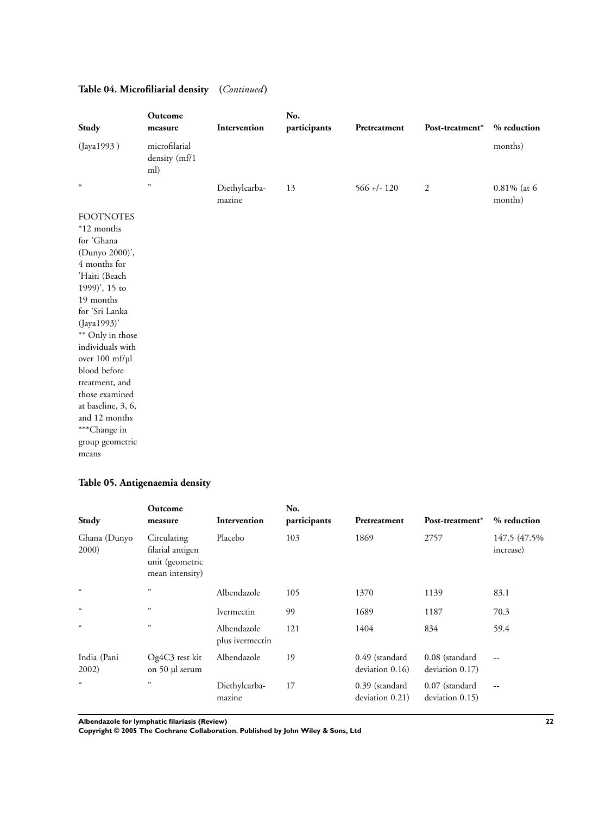| Study                                                                                                                                                                                                                                                                                                                                                           | Outcome<br>measure                    | Intervention            | No.<br>participants | Pretreatment   | Post-treatment* | % reduction            |
|-----------------------------------------------------------------------------------------------------------------------------------------------------------------------------------------------------------------------------------------------------------------------------------------------------------------------------------------------------------------|---------------------------------------|-------------------------|---------------------|----------------|-----------------|------------------------|
| (Jaya1993)                                                                                                                                                                                                                                                                                                                                                      | microfilarial<br>density (mf/1<br>ml) |                         |                     |                |                 | months)                |
| $\mathfrak{c}\mathfrak{c}$                                                                                                                                                                                                                                                                                                                                      | $,$                                   | Diethylcarba-<br>mazine | 13                  | $566 + (-120)$ | $\sqrt{2}$      | 0.81% (at 6<br>months) |
| <b>FOOTNOTES</b><br>*12 months<br>for 'Ghana<br>(Dunyo 2000)',<br>4 months for<br>'Haiti (Beach<br>1999)', 15 to<br>19 months<br>for 'Sri Lanka<br>(Jaya1993)'<br>** Only in those<br>individuals with<br>over 100 mf/µl<br>blood before<br>treatment, and<br>those examined<br>at baseline, 3, 6,<br>and 12 months<br>***Change in<br>group geometric<br>means |                                       |                         |                     |                |                 |                        |

# **Table 04. Microfiliarial density (***Continued* **)**

# **Table 05. Antigenaemia density**

| Study                 | Outcome<br>measure                                                    | Intervention                   | No.<br>participants | Pretreatment                      | Post-treatment*                   | % reduction                |
|-----------------------|-----------------------------------------------------------------------|--------------------------------|---------------------|-----------------------------------|-----------------------------------|----------------------------|
| Ghana (Dunyo<br>2000) | Circulating<br>filarial antigen<br>unit (geometric<br>mean intensity) | Placebo                        | 103                 | 1869                              | 2757                              | 147.5 (47.5%)<br>increase) |
| $\epsilon$            | ,                                                                     | Albendazole                    | 105                 | 1370                              | 1139                              | 83.1                       |
| $\epsilon\epsilon$    | , 2                                                                   | Ivermectin                     | 99                  | 1689                              | 1187                              | 70.3                       |
| $\epsilon\epsilon$    | ,                                                                     | Albendazole<br>plus ivermectin | 121                 | 1404                              | 834                               | 59.4                       |
| India (Pani<br>2002)  | Og4C3 test kit<br>on 50 µl serum                                      | Albendazole                    | 19                  | 0.49 (standard<br>deviation 0.16) | 0.08 (standard<br>deviation 0.17) | $-$                        |
| $\epsilon$            | ,                                                                     | Diethylcarba-<br>mazine        | 17                  | 0.39 (standard<br>deviation 0.21) | 0.07 (standard<br>deviation 0.15) | $\overline{\phantom{m}}$   |

**Albendazole for lymphatic filariasis (Review) 22**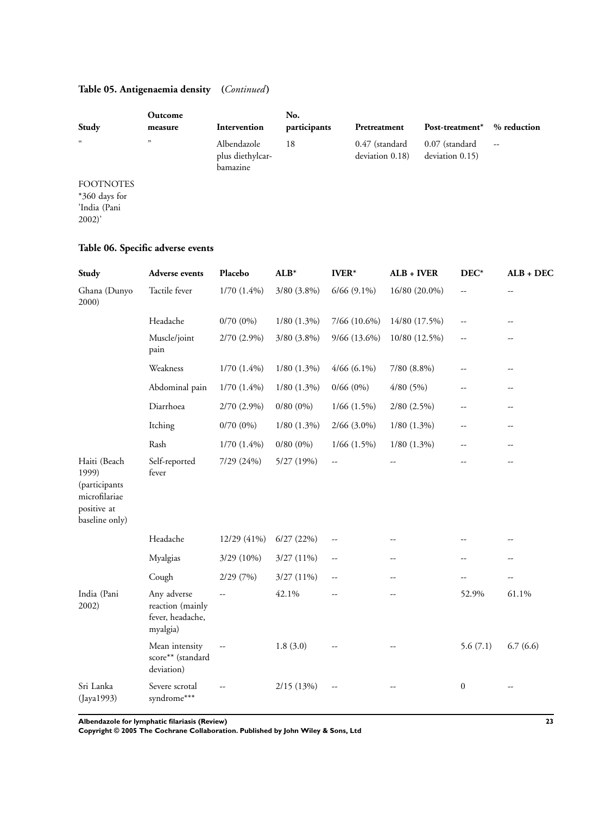# **Table 05. Antigenaemia density (***Continued* **)**

|                                                           | Outcome |                                             | No.          |                                   |                                   |             |
|-----------------------------------------------------------|---------|---------------------------------------------|--------------|-----------------------------------|-----------------------------------|-------------|
| Study                                                     | measure | Intervention                                | participants | Pretreatment                      | Post-treatment <sup>*</sup>       | % reduction |
| $\epsilon\epsilon$                                        | ,       | Albendazole<br>plus diethylcar-<br>bamazine | 18           | 0.47 (standard<br>deviation 0.18) | 0.07 (standard<br>deviation 0.15) | --          |
| <b>FOOTNOTES</b><br>*360 days for<br>'India (Pani<br>2002 |         |                                             |              |                                   |                                   |             |

# **Table 06. Specific adverse events**

| Study                                                                                    | <b>Adverse events</b>                                           | Placebo       | $ALB*$           | <b>IVER*</b>             | ALB + IVER               | $DEC^*$                  | $ALB + DEC$    |
|------------------------------------------------------------------------------------------|-----------------------------------------------------------------|---------------|------------------|--------------------------|--------------------------|--------------------------|----------------|
| Ghana (Dunyo<br>2000)                                                                    | Tactile fever                                                   | $1/70(1.4\%)$ | 3/80 (3.8%)      | $6/66$ $(9.1\%)$         | 16/80 (20.0%)            | $\overline{\phantom{a}}$ |                |
|                                                                                          | Headache                                                        | $0/70(0\%)$   | $1/80$ $(1.3\%)$ | 7/66 (10.6%)             | 14/80 (17.5%)            | $\overline{\phantom{a}}$ | --             |
|                                                                                          | Muscle/joint<br>pain                                            | 2/70 (2.9%)   | $3/80$ $(3.8\%)$ | $9/66$ (13.6%)           | 10/80 (12.5%)            | --                       | --             |
|                                                                                          | Weakness                                                        | $1/70(1.4\%)$ | $1/80$ $(1.3\%)$ | $4/66$ (6.1%)            | 7/80 (8.8%)              | $\overline{\phantom{a}}$ | --             |
|                                                                                          | Abdominal pain                                                  | $1/70(1.4\%)$ | $1/80$ $(1.3\%)$ | $0/66(0\%)$              | 4/80(5%)                 | --                       | $-$            |
|                                                                                          | Diarrhoea                                                       | $2/70(2.9\%)$ | $0/80(0\%)$      | $1/66$ $(1.5\%)$         | $2/80$ $(2.5\%)$         | --                       | --             |
|                                                                                          | Itching                                                         | $0/70(0\%)$   | $1/80$ $(1.3\%)$ | $2/66$ (3.0%)            | $1/80$ $(1.3\%)$         | $\overline{a}$           | $\overline{a}$ |
|                                                                                          | Rash                                                            | $1/70(1.4\%)$ | $0/80(0\%)$      | $1/66$ $(1.5\%)$         | $1/80$ $(1.3\%)$         | --                       | --             |
| Haiti (Beach<br>1999)<br>(participants<br>microfilariae<br>positive at<br>baseline only) | Self-reported<br>fever                                          | 7/29 (24%)    | 5/27 (19%)       | $\overline{\phantom{a}}$ |                          |                          | $-$            |
|                                                                                          | Headache                                                        | 12/29 (41%)   | 6/27(22%)        | $\overline{\phantom{a}}$ |                          |                          |                |
|                                                                                          | Myalgias                                                        | 3/29 (10%)    | 3/27(11%)        | $\overline{\phantom{a}}$ | --                       | --                       | --             |
|                                                                                          | Cough                                                           | 2/29(7%)      | 3/27 (11%)       | $\overline{\phantom{a}}$ | $\overline{\phantom{a}}$ | --                       | $\overline{a}$ |
| India (Pani<br>2002)                                                                     | Any adverse<br>reaction (mainly<br>fever, headache,<br>myalgia) |               | 42.1%            | --                       | --                       | 52.9%                    | 61.1%          |
|                                                                                          | Mean intensity<br>score** (standard<br>deviation)               |               | 1.8(3.0)         |                          |                          | 5.6(7.1)                 | 6.7(6.6)       |
| Sri Lanka<br>(Jaya1993)                                                                  | Severe scrotal<br>syndrome***                                   | Ξ.            | 2/15 (13%)       | $\overline{\phantom{a}}$ |                          | $\boldsymbol{0}$         |                |

**Albendazole for lymphatic filariasis (Review) 23**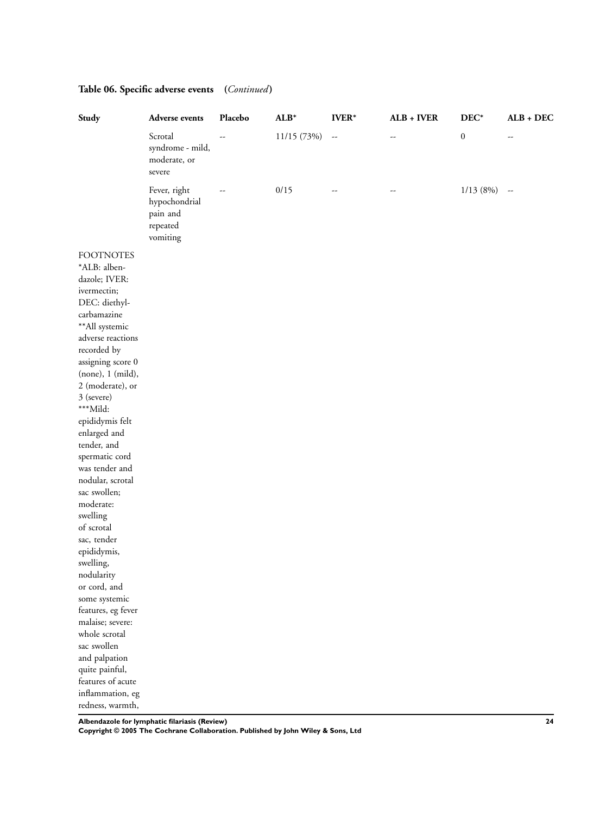| Study                                                                                                                                                                                                                                                                                                                                                                                                                                                                                                                                                                                                                                       | Adverse events                                                    | Placebo | $ALB*$      | $\textbf{IVER}^*$        | $ALB + IVER$ | $\rm DEC^*$      | $ALB + DEC$ |
|---------------------------------------------------------------------------------------------------------------------------------------------------------------------------------------------------------------------------------------------------------------------------------------------------------------------------------------------------------------------------------------------------------------------------------------------------------------------------------------------------------------------------------------------------------------------------------------------------------------------------------------------|-------------------------------------------------------------------|---------|-------------|--------------------------|--------------|------------------|-------------|
|                                                                                                                                                                                                                                                                                                                                                                                                                                                                                                                                                                                                                                             | Scrotal<br>syndrome - mild,<br>moderate, or<br>severe             |         | 11/15 (73%) | $\overline{\phantom{a}}$ | --           | $\boldsymbol{0}$ | --          |
|                                                                                                                                                                                                                                                                                                                                                                                                                                                                                                                                                                                                                                             | Fever, right<br>hypochondrial<br>pain and<br>repeated<br>vomiting |         | 0/15        | --                       | --           | 1/13(8%)         | $\sim$      |
| <b>FOOTNOTES</b><br>*ALB: alben-<br>dazole; IVER:<br>ivermectin;<br>DEC: diethyl-<br>carbamazine<br>**All systemic<br>adverse reactions<br>recorded by<br>assigning score 0<br>(none), 1 (mild),<br>2 (moderate), or<br>3 (severe)<br>***Mild:<br>epididymis felt<br>enlarged and<br>tender, and<br>spermatic cord<br>was tender and<br>nodular, scrotal<br>sac swollen;<br>moderate:<br>swelling<br>of scrotal<br>sac, tender<br>epididymis,<br>swelling,<br>nodularity<br>or cord, and<br>some systemic<br>features, eg fever<br>malaise; severe:<br>whole scrotal<br>sac swollen<br>and palpation<br>quite painful,<br>features of acute |                                                                   |         |             |                          |              |                  |             |
| inflammation, eg<br>redness, warmth,                                                                                                                                                                                                                                                                                                                                                                                                                                                                                                                                                                                                        |                                                                   |         |             |                          |              |                  |             |

# **Table 06. Specific adverse events (***Continued* **)**

**Albendazole for lymphatic filariasis (Review) 24**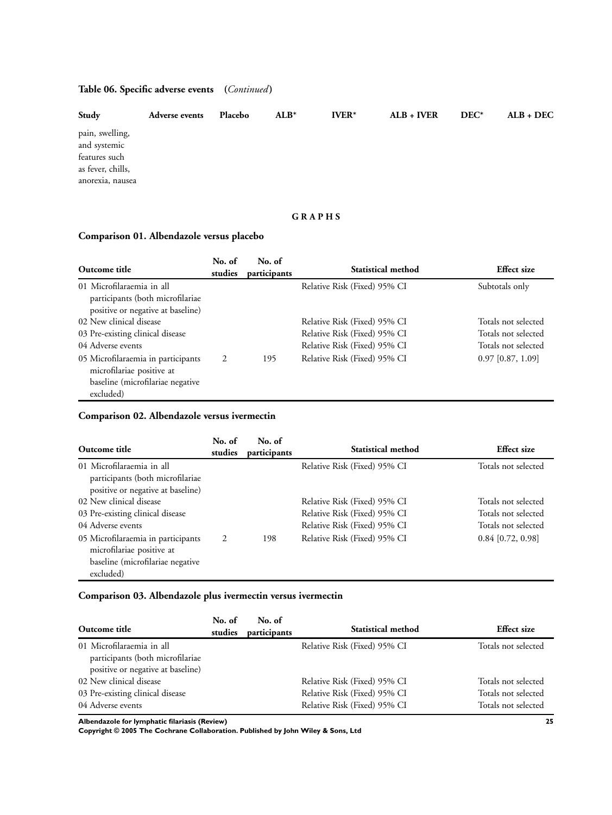# **Table 06. Specific adverse events (***Continued* **)**

| Study                                                                                     | <b>Adverse events</b> | Placebo | $ALB*$ | $IVER*$ | $ALB + IVER$ | $DEC^*$ | $ALB + DEC$ |
|-------------------------------------------------------------------------------------------|-----------------------|---------|--------|---------|--------------|---------|-------------|
| pain, swelling,<br>and systemic<br>features such<br>as fever, chills,<br>anorexia, nausea |                       |         |        |         |              |         |             |

# **G R A P H S**

# **Comparison 01. Albendazole versus placebo**

| Outcome title                                                                                                    | No. of<br>studies | No. of<br>participants | Statistical method                                           | <b>Effect</b> size                         |
|------------------------------------------------------------------------------------------------------------------|-------------------|------------------------|--------------------------------------------------------------|--------------------------------------------|
| 01 Microfilaraemia in all<br>participants (both microfilariae<br>positive or negative at baseline)               |                   |                        | Relative Risk (Fixed) 95% CI                                 | Subtotals only                             |
| 02 New clinical disease                                                                                          |                   |                        | Relative Risk (Fixed) 95% CI                                 | Totals not selected                        |
| 03 Pre-existing clinical disease<br>04 Adverse events                                                            |                   |                        | Relative Risk (Fixed) 95% CI<br>Relative Risk (Fixed) 95% CI | Totals not selected<br>Totals not selected |
| 05 Microfilaraemia in participants<br>microfilariae positive at<br>baseline (microfilariae negative<br>excluded) | 2                 | 195                    | Relative Risk (Fixed) 95% CI                                 | $0.97$ [0.87, 1.09]                        |

# **Comparison 02. Albendazole versus ivermectin**

| Outcome title                                                                                                    | No. of<br>studies | No. of<br>participants | <b>Statistical method</b>                                    | <b>Effect</b> size                         |
|------------------------------------------------------------------------------------------------------------------|-------------------|------------------------|--------------------------------------------------------------|--------------------------------------------|
| 01 Microfilaraemia in all<br>participants (both microfilariae<br>positive or negative at baseline)               |                   |                        | Relative Risk (Fixed) 95% CI                                 | Totals not selected                        |
| 02 New clinical disease<br>03 Pre-existing clinical disease                                                      |                   |                        | Relative Risk (Fixed) 95% CI<br>Relative Risk (Fixed) 95% CI | Totals not selected<br>Totals not selected |
| 04 Adverse events                                                                                                |                   |                        | Relative Risk (Fixed) 95% CI                                 | Totals not selected                        |
| 05 Microfilaraemia in participants<br>microfilariae positive at<br>baseline (microfilariae negative<br>excluded) | 2                 | 198                    | Relative Risk (Fixed) 95% CI                                 | $0.84$ [0.72, 0.98]                        |

# **Comparison 03. Albendazole plus ivermectin versus ivermectin**

| Outcome title                                                                                      | No. of<br>studies | No. of<br>participants | <b>Statistical method</b>                                    | <b>Effect</b> size                         |
|----------------------------------------------------------------------------------------------------|-------------------|------------------------|--------------------------------------------------------------|--------------------------------------------|
| 01 Microfilaraemia in all<br>participants (both microfilariae<br>positive or negative at baseline) |                   |                        | Relative Risk (Fixed) 95% CI                                 | Totals not selected                        |
| 02 New clinical disease                                                                            |                   |                        | Relative Risk (Fixed) 95% CI                                 | Totals not selected                        |
| 03 Pre-existing clinical disease<br>04 Adverse events                                              |                   |                        | Relative Risk (Fixed) 95% CI<br>Relative Risk (Fixed) 95% CI | Totals not selected<br>Totals not selected |

**Albendazole for lymphatic filariasis (Review) 25**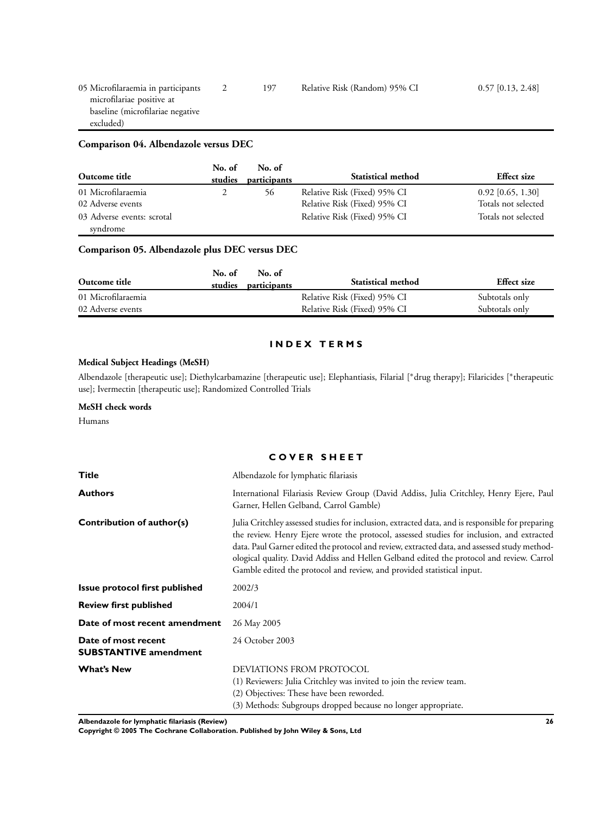# **Comparison 04. Albendazole versus DEC**

| Outcome title                          | No. of<br>studies | No. of<br>participants | <b>Statistical method</b>    | <b>Effect</b> size  |
|----------------------------------------|-------------------|------------------------|------------------------------|---------------------|
| 01 Microfilaraemia                     |                   | 56                     | Relative Risk (Fixed) 95% CI | $0.92$ [0.65, 1.30] |
| 02 Adverse events                      |                   |                        | Relative Risk (Fixed) 95% CI | Totals not selected |
| 03 Adverse events: scrotal<br>syndrome |                   |                        | Relative Risk (Fixed) 95% CI | Totals not selected |

# **Comparison 05. Albendazole plus DEC versus DEC**

| Outcome title      | No. of<br>studies | No. of<br>participants | Statistical method           | <b>Effect</b> size |
|--------------------|-------------------|------------------------|------------------------------|--------------------|
| 01 Microfilaraemia |                   |                        | Relative Risk (Fixed) 95% CI | Subtotals only     |
| 02 Adverse events  |                   |                        | Relative Risk (Fixed) 95% CI | Subtotals only     |

# **I N D E X T E R M S**

# **Medical Subject Headings (MeSH)**

Albendazole [therapeutic use]; Diethylcarbamazine [therapeutic use]; Elephantiasis, Filarial [∗drug therapy]; Filaricides [<sup>∗</sup> therapeutic use]; Ivermectin [therapeutic use]; Randomized Controlled Trials

# **MeSH check words**

Humans

## **C O V E R S H E E T**

| <b>Title</b>                                        | Albendazole for lymphatic filariasis                                                                                                                                                                                                                                                                                                                                                                                                                                |
|-----------------------------------------------------|---------------------------------------------------------------------------------------------------------------------------------------------------------------------------------------------------------------------------------------------------------------------------------------------------------------------------------------------------------------------------------------------------------------------------------------------------------------------|
| <b>Authors</b>                                      | International Filariasis Review Group (David Addiss, Julia Critchley, Henry Ejere, Paul<br>Garner, Hellen Gelband, Carrol Gamble)                                                                                                                                                                                                                                                                                                                                   |
| Contribution of author(s)                           | Julia Critchley assessed studies for inclusion, extracted data, and is responsible for preparing<br>the review. Henry Ejere wrote the protocol, assessed studies for inclusion, and extracted<br>data. Paul Garner edited the protocol and review, extracted data, and assessed study method-<br>ological quality. David Addiss and Hellen Gelband edited the protocol and review. Carrol<br>Gamble edited the protocol and review, and provided statistical input. |
| Issue protocol first published                      | 2002/3                                                                                                                                                                                                                                                                                                                                                                                                                                                              |
| <b>Review first published</b>                       | 2004/1                                                                                                                                                                                                                                                                                                                                                                                                                                                              |
| Date of most recent amendment                       | 26 May 2005                                                                                                                                                                                                                                                                                                                                                                                                                                                         |
| Date of most recent<br><b>SUBSTANTIVE amendment</b> | 24 October 2003                                                                                                                                                                                                                                                                                                                                                                                                                                                     |
| <b>What's New</b>                                   | DEVIATIONS FROM PROTOCOL<br>(1) Reviewers: Julia Critchley was invited to join the review team.<br>(2) Objectives: These have been reworded.<br>(3) Methods: Subgroups dropped because no longer appropriate.                                                                                                                                                                                                                                                       |

**Albendazole for lymphatic filariasis (Review) 26**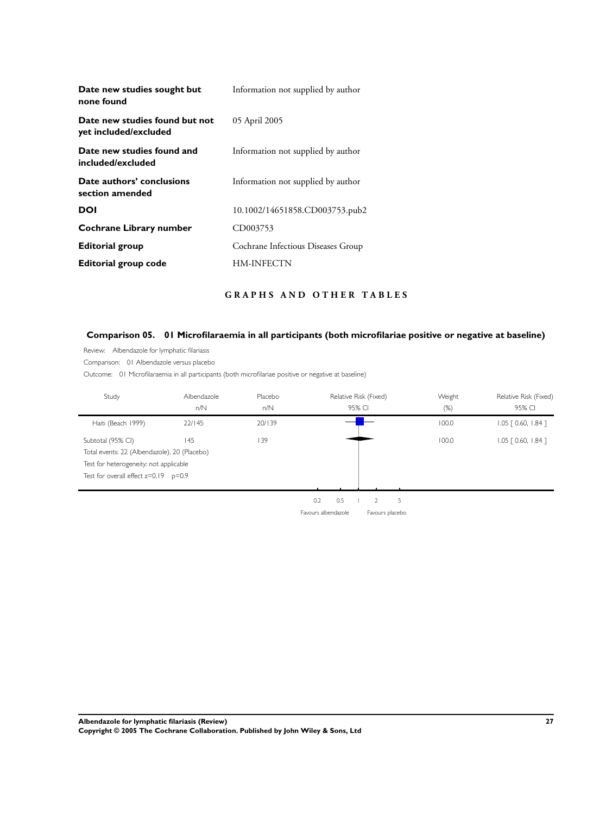| Information not supplied by author |
|------------------------------------|
| 05 April 2005                      |
| Information not supplied by author |
| Information not supplied by author |
| 10.1002/14651858.CD003753.pub2     |
| CD003753                           |
| Cochrane Infectious Diseases Group |
| HM-INFECTN                         |
|                                    |

# **G R A P H S A N D O T H E R T A B L E S**

# **Comparison 05. 01 Microfilaraemia in all participants (both microfilariae positive or negative at baseline)**

Review: Albendazole for lymphatic filariasis

Comparison: 01 Albendazole versus placebo

Outcome: 01 Microfilaraemia in all participants (both microfilariae positive or negative at baseline)

| Study                                                                                                                                                   | Albendazole<br>n/N | Placebo<br>n/N |                            |     | Relative Risk (Fixed)<br>95% CI   |   | Weight<br>$(\%)$ | Relative Risk (Fixed)<br>95% CI |
|---------------------------------------------------------------------------------------------------------------------------------------------------------|--------------------|----------------|----------------------------|-----|-----------------------------------|---|------------------|---------------------------------|
| Haiti (Beach 1999)                                                                                                                                      | 22/145             | 20/139         |                            |     |                                   |   | 100.0            | $1.05$ $[0.60, 1.84]$           |
| Subtotal (95% CI)<br>Total events: 22 (Albendazole), 20 (Placebo)<br>Test for heterogeneity: not applicable<br>Test for overall effect $z=0.19$ $p=0.9$ | 145                | 39             |                            |     |                                   |   | 100.0            | $1.05$ $[0.60, 1.84]$           |
|                                                                                                                                                         |                    |                | 0.2<br>Favours albendazole | 0.5 | $\overline{2}$<br>Favours placebo | 5 |                  |                                 |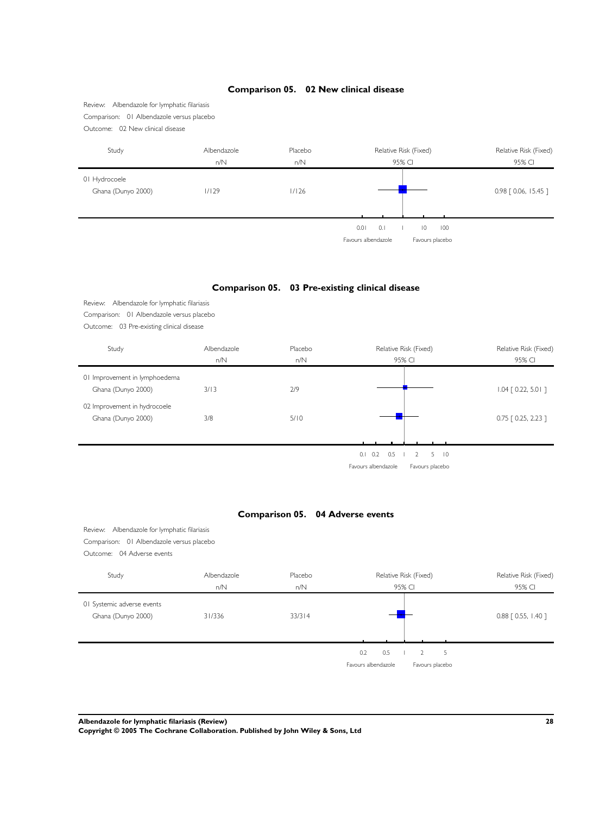## **Comparison 05. 02 New clinical disease**

Review: Albendazole for lymphatic filariasis Comparison: 01 Albendazole versus placebo Outcome: 02 New clinical disease

| Study                               | Albendazole<br>n/N | Placebo<br>n/N | Relative Risk (Fixed)<br>95% CI                                    | Relative Risk (Fixed)<br>95% CI |
|-------------------------------------|--------------------|----------------|--------------------------------------------------------------------|---------------------------------|
| 01 Hydrocoele<br>Ghana (Dunyo 2000) | 1/129              | 1/126          |                                                                    | $0.98$ $[0.06, 15.45]$          |
|                                     |                    |                | 0.1<br>0.01<br>10<br>100<br>Favours albendazole<br>Favours placebo |                                 |

# **Comparison 05. 03 Pre-existing clinical disease**

|                                              | Albendazole        | Placebo                          |                                                                  |                                 |
|----------------------------------------------|--------------------|----------------------------------|------------------------------------------------------------------|---------------------------------|
| Study                                        | n/N                | n/N                              | Relative Risk (Fixed)<br>95% CI                                  | Relative Risk (Fixed)<br>95% CI |
| 01 Improvement in lymphoedema                |                    |                                  |                                                                  |                                 |
| Ghana (Dunyo 2000)                           | 3/13               | 2/9                              |                                                                  | $1.04$ $[0.22, 5.01]$           |
|                                              |                    |                                  |                                                                  |                                 |
| 02 Improvement in hydrocoele                 |                    |                                  |                                                                  |                                 |
| Ghana (Dunyo 2000)                           | 3/8                | 5/10                             |                                                                  | $0.75$ $[0.25, 2.23]$           |
|                                              |                    |                                  |                                                                  |                                 |
|                                              |                    |                                  | $0.1 \quad 0.2$<br>0.5<br>$\overline{2}$<br>5<br>$\overline{10}$ |                                 |
|                                              |                    |                                  |                                                                  |                                 |
|                                              |                    |                                  | Favours albendazole<br>Favours placebo                           |                                 |
|                                              |                    |                                  |                                                                  |                                 |
|                                              |                    |                                  |                                                                  |                                 |
|                                              |                    | Comparison 05. 04 Adverse events |                                                                  |                                 |
| Review: Albendazole for lymphatic filariasis |                    |                                  |                                                                  |                                 |
| Comparison: 01 Albendazole versus placebo    |                    |                                  |                                                                  |                                 |
| Outcome: 04 Adverse events                   |                    |                                  |                                                                  |                                 |
|                                              |                    |                                  |                                                                  |                                 |
| Study                                        | Albendazole<br>n/N | Placebo<br>n/N                   | Relative Risk (Fixed)<br>95% CI                                  | Relative Risk (Fixed)<br>95% CI |
|                                              |                    |                                  |                                                                  |                                 |
| 01 Systemic adverse events                   | 31/336             | 33/314                           |                                                                  |                                 |
| Ghana (Dunyo 2000)                           |                    |                                  |                                                                  | 0.88 [ 0.55, 1.40 ]             |
|                                              |                    |                                  |                                                                  |                                 |
|                                              |                    |                                  | 0.5<br>5<br>0.2<br>$\overline{2}$                                |                                 |

**Albendazole for lymphatic filariasis (Review) 28**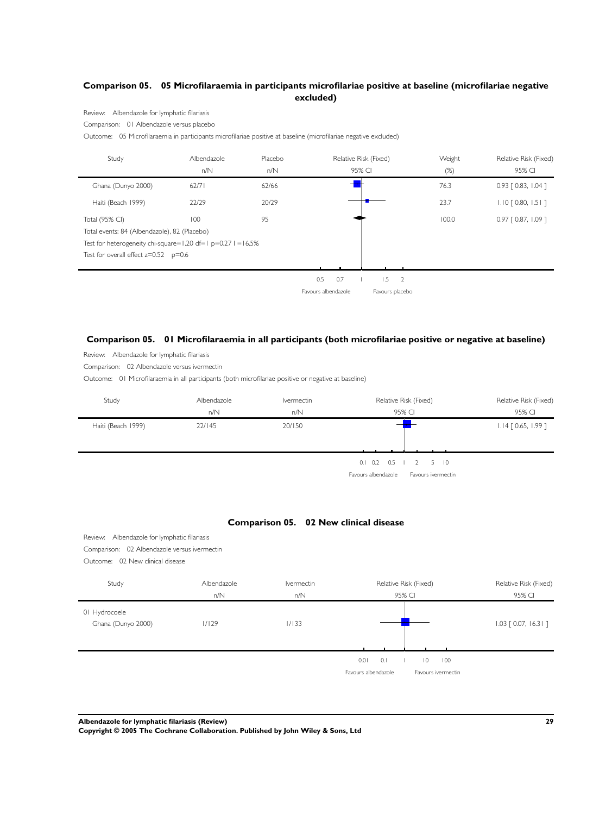# **Comparison 05. 05 Microfilaraemia in participants microfilariae positive at baseline (microfilariae negative excluded)**

Review: Albendazole for lymphatic filariasis

Comparison: 01 Albendazole versus placebo

Outcome: 05 Microfilaraemia in participants microfilariae positive at baseline (microfilariae negative excluded)

| Study                                                          | Albendazole | Placebo |                     |     | Relative Risk (Fixed) | Weight | Relative Risk (Fixed) |
|----------------------------------------------------------------|-------------|---------|---------------------|-----|-----------------------|--------|-----------------------|
|                                                                | n/N         | n/N     |                     |     | 95% CI                | $(\%)$ | 95% CI                |
| Ghana (Dunyo 2000)                                             | 62/71       | 62/66   |                     |     |                       | 76.3   | $0.93$ [ 0.83, 1.04 ] |
| Haiti (Beach 1999)                                             | 22/29       | 20/29   |                     |     |                       | 23.7   | $1.10$ $[0.80, 1.51]$ |
| Total (95% CI)                                                 | 100         | 95      |                     |     |                       | 100.0  | $0.97$ $[0.87, 1.09]$ |
| Total events: 84 (Albendazole), 82 (Placebo)                   |             |         |                     |     |                       |        |                       |
| Test for heterogeneity chi-square=1.20 df=1 $p=0.271 = 16.5\%$ |             |         |                     |     |                       |        |                       |
| Test for overall effect $z=0.52$ $p=0.6$                       |             |         |                     |     |                       |        |                       |
|                                                                |             |         |                     |     |                       |        |                       |
|                                                                |             |         | 0.5                 | 0.7 | 1.5<br>$\overline{2}$ |        |                       |
|                                                                |             |         | Favours albendazole |     | Favours placebo       |        |                       |

## **Comparison 05. 01 Microfilaraemia in all participants (both microfilariae positive or negative at baseline)**

Review: Albendazole for lymphatic filariasis

Comparison: 02 Albendazole versus ivermectin

Outcome: 01 Microfilaraemia in all participants (both microfilariae positive or negative at baseline)

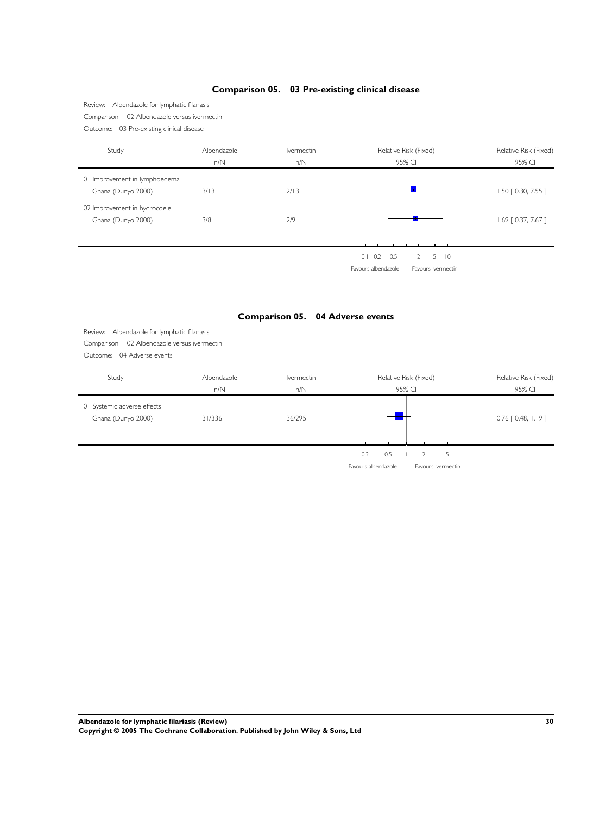## **Comparison 05. 03 Pre-existing clinical disease**

Review: Albendazole for lymphatic filariasis Comparison: 02 Albendazole versus ivermectin Outcome: 03 Pre-existing clinical disease

Study **Albendazole** Ivermectin Relative Risk (Fixed) Relative Risk (Fixed) Relative Risk (Fixed) n/N n/N 95% CI 95% CI 01 Improvement in lymphoedema Ghana (Dunyo 2000) 3/13 2/13 2/13 1.50 [ 0.30, 7.55 ] 02 Improvement in hydrocoele Ghana (Dunyo 2000) 3/8 2/9 2000 2000 3/8 2010 2010 2010 2020 2037, 7.67 ] 0.1 0.2 0.5 1 2 5 10 Favours albendazole Favours ivermectin **Comparison 05. 04 Adverse events** Review: Albendazole for lymphatic filariasis Comparison: 02 Albendazole versus ivermectin Outcome: 04 Adverse events Study **Albendazole** Ivermectin Relative Risk (Fixed) Relative Risk (Fixed) Relative Risk (Fixed) n/N n/N 95% CI 95% CI 01 Systemic adverse effects Ghana (Dunyo 2000) 31/336 36/295 <del>1.1</del> 1.19 **0.76** [ 0.48, 1.19 ]  $0.2$  0.5  $1$  2 5 Favours albendazole Favours ivermectin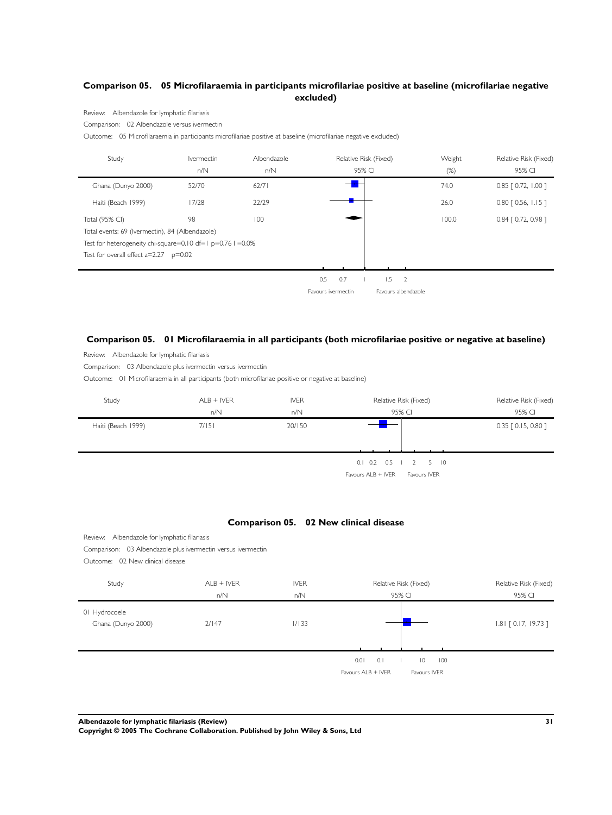# **Comparison 05. 05 Microfilaraemia in participants microfilariae positive at baseline (microfilariae negative excluded)**

Review: Albendazole for lymphatic filariasis

Comparison: 02 Albendazole versus ivermectin

Outcome: 05 Microfilaraemia in participants microfilariae positive at baseline (microfilariae negative excluded)

| Study                                                        | <b>Ivermectin</b> | Albendazole |                    |     | Relative Risk (Fixed) | Weight | Relative Risk (Fixed) |
|--------------------------------------------------------------|-------------------|-------------|--------------------|-----|-----------------------|--------|-----------------------|
|                                                              | n/N               | n/N         |                    |     | 95% CI                | $(\%)$ | 95% CI                |
| Ghana (Dunyo 2000)                                           | 52/70             | 62/71       |                    |     |                       | 74.0   | $0.85$ $[0.72, 1.00]$ |
| Haiti (Beach 1999)                                           | 17/28             | 22/29       |                    |     |                       | 26.0   | $0.80$ [ 0.56, 1.15 ] |
| Total (95% CI)                                               | 98                | 100         |                    |     |                       | 100.0  | 0.84 [ 0.72, 0.98 ]   |
| Total events: 69 (Ivermectin), 84 (Albendazole)              |                   |             |                    |     |                       |        |                       |
| Test for heterogeneity chi-square=0.10 df=1 $p=0.76$ I =0.0% |                   |             |                    |     |                       |        |                       |
| Test for overall effect $z=2.27$ $p=0.02$                    |                   |             |                    |     |                       |        |                       |
|                                                              |                   |             |                    |     |                       |        |                       |
|                                                              |                   |             | 0.5                | 0.7 | $1.5 \t 2$            |        |                       |
|                                                              |                   |             | Favours ivermectin |     | Favours albendazole   |        |                       |

## **Comparison 05. 01 Microfilaraemia in all participants (both microfilariae positive or negative at baseline)**

Review: Albendazole for lymphatic filariasis

Comparison: 03 Albendazole plus ivermectin versus ivermectin

Outcome: 01 Microfilaraemia in all participants (both microfilariae positive or negative at baseline)

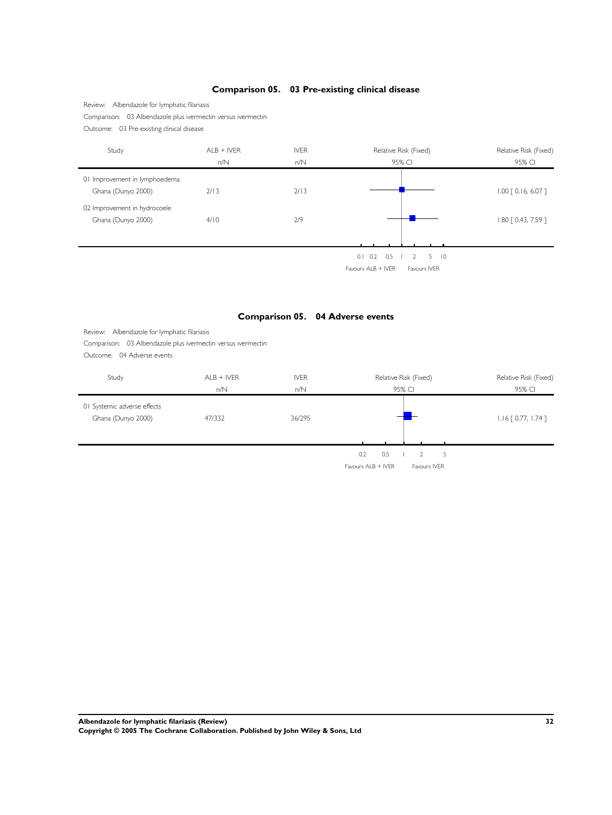# Comparison: 03 Albendazole plus ivermectin versus ivermectin Outcome: 03 Pre-existing clinical disease Study ALB + IVER IVER IVER Relative Risk (Fixed) Relative Risk (Fixed) Relative Risk (Fixed) n/N 100 n/N 100 n/N 95% CI 95% CI 95% CI 95% CI 01 Improvement in lymphoedema Ghana (Dunyo 2000) 2/13 2/13 2/13 2/13 2/13 1.00 [ 0.16, 6.07 ] 02 Improvement in hydrocoele Ghana (Dunyo 2000) 4/10 2/9 2000 2000 4/10 2/9 1.80 [ 0.43, 7.59 ]  $0.1$   $0.2$   $0.5$   $1$   $2$   $5$   $10$ Favours ALB + IVER | Favours IVER **Comparison 05. 04 Adverse events** Review: Albendazole for lymphatic filariasis Comparison: 03 Albendazole plus ivermectin versus ivermectin Outcome: 04 Adverse events Study **ALB + IVER** IVER **IVER** Relative Risk (Fixed) Relative Risk (Fixed) Relative Risk (Fixed) n/N n/N 95% CI 95% CI 01 Systemic adverse effects Ghana (Dunyo 2000) 47/332 47/332 36/295 1.16 [ 0.77, 1.74 ]  $0.2$  0.5  $1$  2 5  $Favours ALB + IVER$   $\parallel$  Favours IVER

## **Comparison 05. 03 Pre-existing clinical disease**

**Albendazole for lymphatic filariasis (Review) 32**

Review: Albendazole for lymphatic filariasis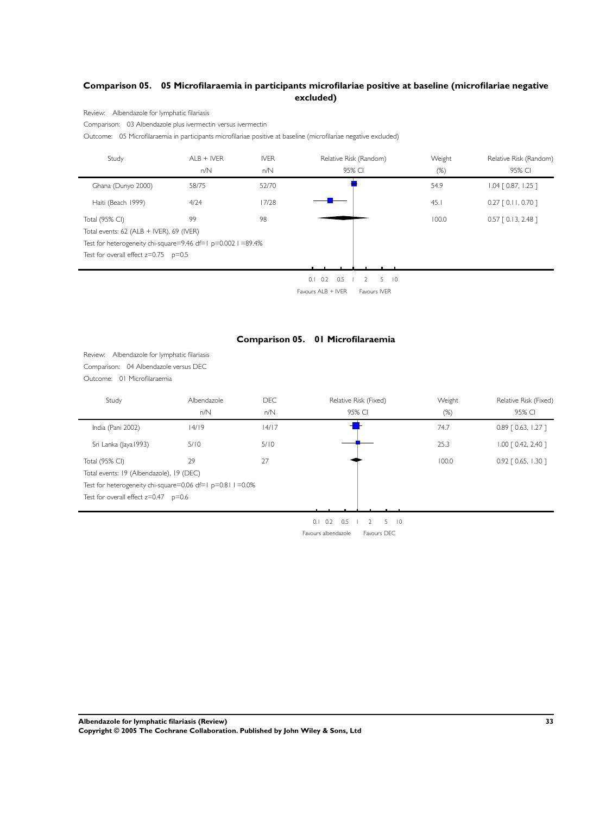# **Comparison 05. 05 Microfilaraemia in participants microfilariae positive at baseline (microfilariae negative excluded)**

Review: Albendazole for lymphatic filariasis

Comparison: 03 Albendazole plus ivermectin versus ivermectin

Outcome: 05 Microfilaraemia in participants microfilariae positive at baseline (microfilariae negative excluded)

| Study                                                        | $ALB + IVER$ | <b>IVER</b> | Relative Risk (Random)                    | Weight | Relative Risk (Random) |
|--------------------------------------------------------------|--------------|-------------|-------------------------------------------|--------|------------------------|
|                                                              | n/N          | n/N         | 95% CI                                    | (%)    | 95% CI                 |
| Ghana (Dunyo 2000)                                           | 58/75        | 52/70       |                                           | 54.9   | $1.04$ $[0.87, 1.25]$  |
| Haiti (Beach 1999)                                           | 4/24         | 17/28       |                                           | 45.1   | $0.27$ $[0.11, 0.70]$  |
| Total (95% CI)                                               | 99           | 98          |                                           | 100.0  | $0.57$ $[0.13, 2.48]$  |
| Total events: $62$ (ALB + IVER), $69$ (IVER)                 |              |             |                                           |        |                        |
| Test for heterogeneity chi-square=9.46 df=1 p=0.002 I =89.4% |              |             |                                           |        |                        |
| Test for overall effect $z=0.75$ $p=0.5$                     |              |             |                                           |        |                        |
|                                                              |              |             |                                           |        |                        |
|                                                              |              |             | 0.5<br>5.<br>0.1<br>0.2<br>$\overline{0}$ |        |                        |



## **Comparison 05. 01 Microfilaraemia**

Review: Albendazole for lymphatic filariasis Comparison: 04 Albendazole versus DEC Outcome: 01 Microfilaraemia

| Study                                                      | Albendazole<br>n/N | <b>DEC</b><br>n/N | Relative Risk (Fixed)<br>95% CI                   | Weight<br>$(\%)$ | Relative Risk (Fixed)<br>95% CI |
|------------------------------------------------------------|--------------------|-------------------|---------------------------------------------------|------------------|---------------------------------|
| India (Pani 2002)                                          | 14/19              | 14/17             |                                                   | 74.7             | $0.89$ $[0.63, 1.27]$           |
| Sri Lanka (Jaya 1993)                                      | 5/10               | 5/10              |                                                   | 25.3             | $1.00$ $[0.42, 2.40]$           |
| Total (95% CI)                                             | 29                 | 27                |                                                   | 100.0            | $0.92$ $[0.65, 1.30]$           |
| Total events: 19 (Albendazole), 19 (DEC)                   |                    |                   |                                                   |                  |                                 |
| Test for heterogeneity chi-square=0.06 df=1 p=0.81 l =0.0% |                    |                   |                                                   |                  |                                 |
| Test for overall effect $z=0.47$ p=0.6                     |                    |                   |                                                   |                  |                                 |
|                                                            |                    |                   |                                                   |                  |                                 |
|                                                            |                    |                   | $5 \quad 10$<br>$0.2$ 0.5<br>0.1<br>$\mathcal{L}$ |                  |                                 |
|                                                            |                    |                   | Favours albendazole<br>Favours DEC                |                  |                                 |

**Albendazole for lymphatic filariasis (Review) 33**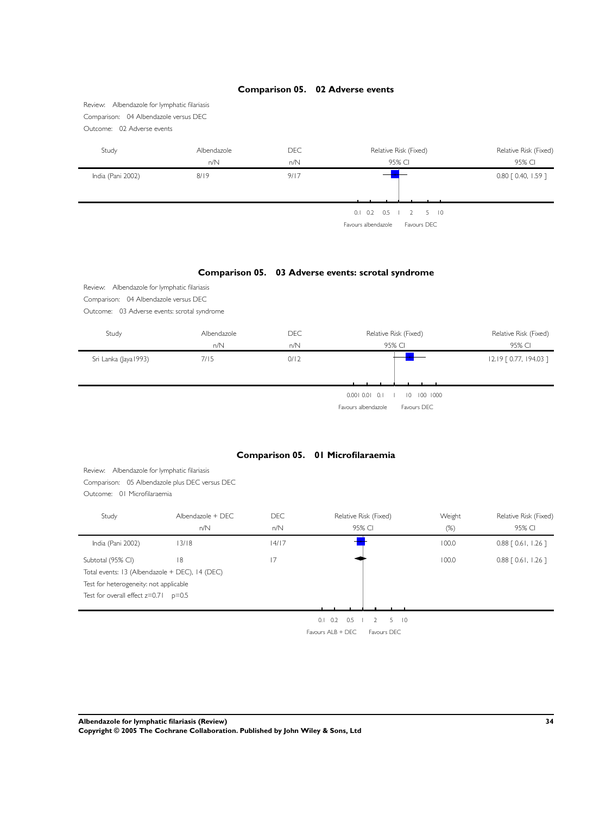

**Albendazole for lymphatic filariasis (Review) 34**